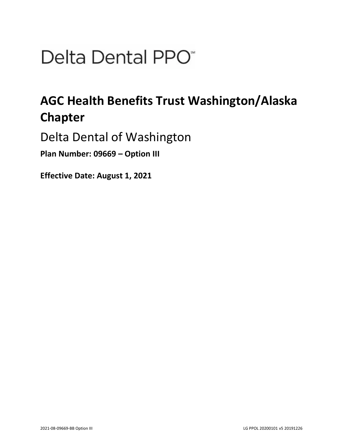# Delta Dental PPO<sup>\*</sup>

## **AGC Health Benefits Trust Washington/Alaska Chapter**

Delta Dental of Washington

**Plan Number: 09669 – Option III** 

**Effective Date: August 1, 2021**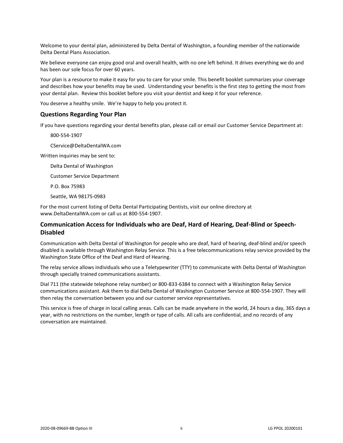Welcome to your dental plan, administered by Delta Dental of Washington, a founding member of the nationwide Delta Dental Plans Association.

We believe everyone can enjoy good oral and overall health, with no one left behind. It drives everything we do and has been our sole focus for over 60 years.

Your plan is a resource to make it easy for you to care for your smile. This benefit booklet summarizes your coverage and describes how your benefits may be used. Understanding your benefits is the first step to getting the most from your dental plan. Review this booklet before you visit your dentist and keep it for your reference.

You deserve a healthy smile. We're happy to help you protect it.

#### **Questions Regarding Your Plan**

If you have questions regarding your dental benefits plan, please call or email our Customer Service Department at:

800-554-1907

CService@DeltaDentalWA.com

Written inquiries may be sent to:

Delta Dental of Washington

Customer Service Department

P.O. Box 75983

Seattle, WA 98175-0983

For the most current listing of Delta Dental Participating Dentists, visit our online directory at www.DeltaDentalWA.com or call us at 800-554-1907.

## **Communication Access for Individuals who are Deaf, Hard of Hearing, Deaf-Blind or Speech-Disabled**

Communication with Delta Dental of Washington for people who are deaf, hard of hearing, deaf-blind and/or speech disabled is available through Washington Relay Service. This is a free telecommunications relay service provided by the Washington State Office of the Deaf and Hard of Hearing.

The relay service allows individuals who use a Teletypewriter (TTY) to communicate with Delta Dental of Washington through specially trained communications assistants.

Dial 711 (the statewide telephone relay number) or 800-833-6384 to connect with a Washington Relay Service communications assistant. Ask them to dial Delta Dental of Washington Customer Service at 800-554-1907. They will then relay the conversation between you and our customer service representatives.

This service is free of charge in local calling areas. Calls can be made anywhere in the world, 24 hours a day, 365 days a year, with no restrictions on the number, length or type of calls. All calls are confidential, and no records of any conversation are maintained.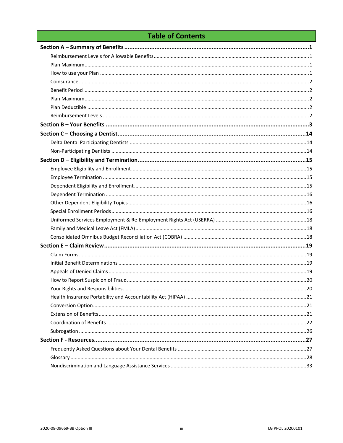## **Table of Contents**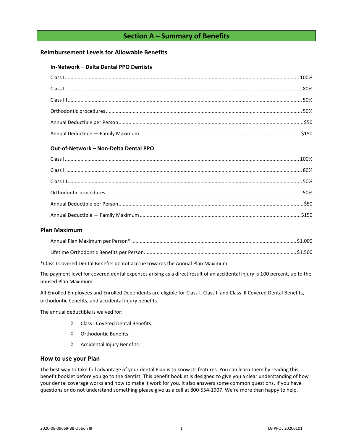## **Section A – Summary of Benefits**

## <span id="page-3-1"></span><span id="page-3-0"></span>**Reimbursement Levels for Allowable Benefits**

#### **In-Network – Delta Dental PPO Dentists**

## **Out-of-Network – Non-Delta Dental PPO**

## <span id="page-3-2"></span>**Plan Maximum**

\*Class I Covered Dental Benefits do not accrue towards the Annual Plan Maximum.

The payment level for covered dental expenses arising as a direct result of an accidental injury is 100 percent, up to the unused Plan Maximum.

All Enrolled Employees and Enrolled Dependents are eligible for Class I, Class II and Class III Covered Dental Benefits, orthodontic benefits, and accidental injury benefits.

The annual deductible is waived for:

- Class I Covered Dental Benefits.
- $\Diamond$  Orthodontic Benefits.
- $\Diamond$  Accidental Injury Benefits.

#### <span id="page-3-3"></span>**How to use your Plan**

The best way to take full advantage of your dental Plan is to know its features. You can learn them by reading this benefit booklet before you go to the dentist. This benefit booklet is designed to give you a clear understanding of how your dental coverage works and how to make it work for you. It also answers some common questions. If you have questions or do not understand something please give us a call at 800-554-1907. We're more than happy to help.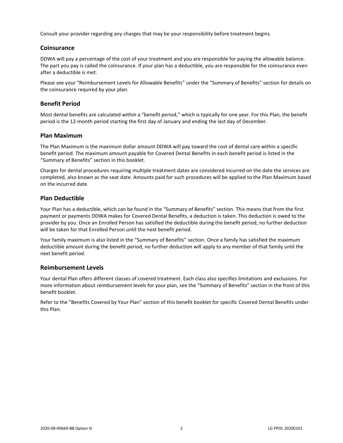Consult your provider regarding any charges that may be your responsibility before treatment begins.

## <span id="page-4-0"></span>**Coinsurance**

DDWA will pay a percentage of the cost of your treatment and you are responsible for paying the allowable balance. The part you pay is called the coinsurance. If your plan has a deductible, you are responsible for the coinsurance even after a deductible is met.

Please see your "Reimbursement Levels for Allowable Benefits" under the "Summary of Benefits" section for details on the coinsurance required by your plan.

## <span id="page-4-1"></span>**Benefit Period**

Most dental benefits are calculated within a "benefit period," which is typically for one year. For this Plan, the benefit period is the 12-month period starting the first day of January and ending the last day of December.

## <span id="page-4-2"></span>**Plan Maximum**

The Plan Maximum is the maximum dollar amount DDWA will pay toward the cost of dental care within a specific benefit period. The maximum amount payable for Covered Dental Benefits in each benefit period is listed in the "Summary of Benefits" section in this booklet.

Charges for dental procedures requiring multiple treatment dates are considered incurred on the date the services are completed, also known as the seat date. Amounts paid for such procedures will be applied to the Plan Maximum based on the incurred date.

## <span id="page-4-3"></span>**Plan Deductible**

Your Plan has a deductible, which can be found in the "Summary of Benefits" section. This means that from the first payment or payments DDWA makes for Covered Dental Benefits, a deduction is taken. This deduction is owed to the provider by you. Once an Enrolled Person has satisfied the deductible during the benefit period, no further deduction will be taken for that Enrolled Person until the next benefit period.

Your family maximum is also listed in the "Summary of Benefits" section. Once a family has satisfied the maximum deductible amount during the benefit period, no further deduction will apply to any member of that family until the next benefit period.

## <span id="page-4-4"></span>**Reimbursement Levels**

Your dental Plan offers different classes of covered treatment. Each class also specifies limitations and exclusions. For more information about reimbursement levels for your plan, see the "Summary of Benefits" section in the front of this benefit booklet.

Refer to the "Benefits Covered by Your Plan" section of this benefit booklet for specific Covered Dental Benefits under this Plan.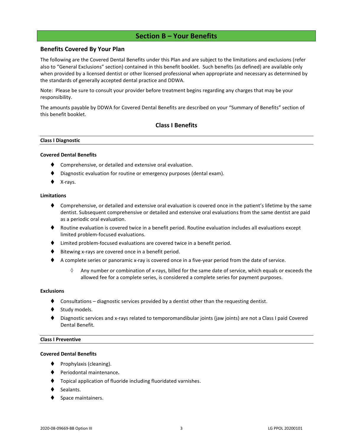## **Section B – Your Benefits**

## <span id="page-5-0"></span>**Benefits Covered By Your Plan**

The following are the Covered Dental Benefits under this Plan and are subject to the limitations and exclusions (refer also to "General Exclusions" section) contained in this benefit booklet. Such benefits (as defined) are available only when provided by a licensed dentist or other licensed professional when appropriate and necessary as determined by the standards of generally accepted dental practice and DDWA.

Note: Please be sure to consult your provider before treatment begins regarding any charges that may be your responsibility.

The amounts payable by DDWA for Covered Dental Benefits are described on your "Summary of Benefits" section of this benefit booklet.

## **Class I Benefits**

#### **Class I Diagnostic**

#### **Covered Dental Benefits**

- Comprehensive, or detailed and extensive oral evaluation.
- Diagnostic evaluation for routine or emergency purposes (dental exam).
- X-rays.

#### **Limitations**

- ♦ Comprehensive, or detailed and extensive oral evaluation is covered once in the patient's lifetime by the same dentist. Subsequent comprehensive or detailed and extensive oral evaluations from the same dentist are paid as a periodic oral evaluation.
- ♦ Routine evaluation is covered twice in a benefit period. Routine evaluation includes all evaluations except limited problem-focused evaluations.
- ⧫ Limited problem-focused evaluations are covered twice in a benefit period.
- Bitewing x-rays are covered once in a benefit period.
- ◆ A complete series or panoramic x-ray is covered once in a five-year period from the date of service.
	- $\Diamond$  Any number or combination of x-rays, billed for the same date of service, which equals or exceeds the allowed fee for a complete series, is considered a complete series for payment purposes.

#### **Exclusions**

- Consultations diagnostic services provided by a dentist other than the requesting dentist.
- Study models.
- Diagnostic services and x-rays related to temporomandibular joints (jaw joints) are not a Class I paid Covered Dental Benefit.

#### **Class I Preventive**

#### **Covered Dental Benefits**

- Prophylaxis (cleaning).
- ⧫ Periodontal maintenance**.**
- ⧫ Topical application of fluoride including fluoridated varnishes.
- Sealants.
- Space maintainers.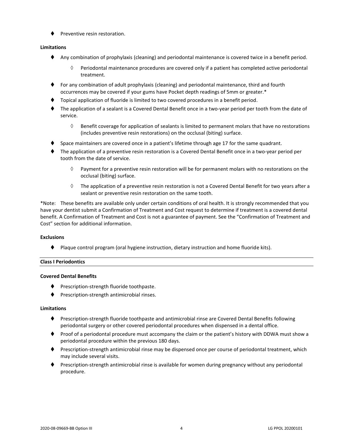⧫ Preventive resin restoration.

## **Limitations**

- ⧫ Any combination of prophylaxis (cleaning) and periodontal maintenance is covered twice in a benefit period.
	- $\Diamond$  Periodontal maintenance procedures are covered only if a patient has completed active periodontal treatment.
- ⧫ For any combination of adult prophylaxis (cleaning) and periodontal maintenance, third and fourth occurrences may be covered if your gums have Pocket depth readings of 5mm or greater.\*
- ⧫ Topical application of fluoride is limited to two covered procedures in a benefit period.
- ⧫ The application of a sealant is a Covered Dental Benefit once in a two-year period per tooth from the date of service.
	- $\Diamond$  Benefit coverage for application of sealants is limited to permanent molars that have no restorations (includes preventive resin restorations) on the occlusal (biting) surface.
- Space maintainers are covered once in a patient's lifetime through age 17 for the same quadrant.
- ⧫ The application of a preventive resin restoration is a Covered Dental Benefit once in a two-year period per tooth from the date of service.
	- $\Diamond$  Payment for a preventive resin restoration will be for permanent molars with no restorations on the occlusal (biting) surface.
	- $\Diamond$  The application of a preventive resin restoration is not a Covered Dental Benefit for two years after a sealant or preventive resin restoration on the same tooth.

\*Note: These benefits are available only under certain conditions of oral health. It is strongly recommended that you have your dentist submit a Confirmation of Treatment and Cost request to determine if treatment is a covered dental benefit. A Confirmation of Treatment and Cost is not a guarantee of payment. See the "Confirmation of Treatment and Cost" section for additional information.

## **Exclusions**

⧫ Plaque control program (oral hygiene instruction, dietary instruction and home fluoride kits).

## **Class I Periodontics**

## **Covered Dental Benefits**

- ◆ Prescription-strength fluoride toothpaste.
- ⧫ Prescription-strength antimicrobial rinses.

## **Limitations**

- ◆ Prescription-strength fluoride toothpaste and antimicrobial rinse are Covered Dental Benefits following periodontal surgery or other covered periodontal procedures when dispensed in a dental office.
- ⧫ Proof of a periodontal procedure must accompany the claim or the patient's history with DDWA must show a periodontal procedure within the previous 180 days.
- ⧫ Prescription-strength antimicrobial rinse may be dispensed once per course of periodontal treatment, which may include several visits.
- Prescription-strength antimicrobial rinse is available for women during pregnancy without any periodontal procedure.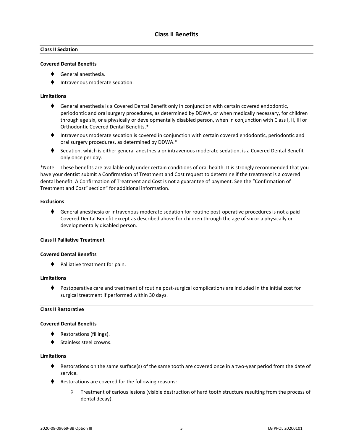## **Class II Sedation**

#### **Covered Dental Benefits**

- ⧫ General anesthesia.
- ⧫ Intravenous moderate sedation.

#### **Limitations**

- ◆ General anesthesia is a Covered Dental Benefit only in conjunction with certain covered endodontic, periodontic and oral surgery procedures, as determined by DDWA, or when medically necessary, for children through age six, or a physically or developmentally disabled person, when in conjunction with Class I, II, III or Orthodontic Covered Dental Benefits.\*
- ⧫ Intravenous moderate sedation is covered in conjunction with certain covered endodontic, periodontic and oral surgery procedures, as determined by DDWA.\*
- ◆ Sedation, which is either general anesthesia or intravenous moderate sedation, is a Covered Dental Benefit only once per day.

\*Note: These benefits are available only under certain conditions of oral health. It is strongly recommended that you have your dentist submit a Confirmation of Treatment and Cost request to determine if the treatment is a covered dental benefit. A Confirmation of Treatment and Cost is not a guarantee of payment. See the "Confirmation of Treatment and Cost" section" for additional information.

#### **Exclusions**

♦ General anesthesia or intravenous moderate sedation for routine post-operative procedures is not a paid Covered Dental Benefit except as described above for children through the age of six or a physically or developmentally disabled person.

#### **Class II Palliative Treatment**

#### **Covered Dental Benefits**

⧫ Palliative treatment for pain.

#### **Limitations**

⧫ Postoperative care and treatment of routine post-surgical complications are included in the initial cost for surgical treatment if performed within 30 days.

#### **Class II Restorative**

#### **Covered Dental Benefits**

- ◆ Restorations (fillings).
- Stainless steel crowns.

#### **Limitations**

- ♦ Restorations on the same surface(s) of the same tooth are covered once in a two-year period from the date of service.
- ◆ Restorations are covered for the following reasons:
	- $\Diamond$  Treatment of carious lesions (visible destruction of hard tooth structure resulting from the process of dental decay).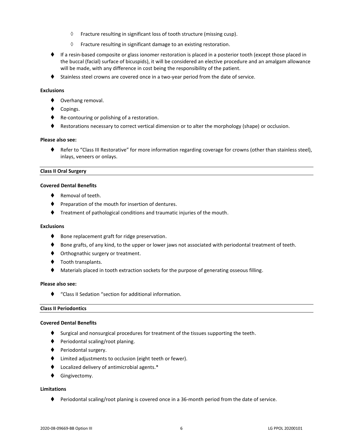- $\Diamond$  Fracture resulting in significant loss of tooth structure (missing cusp).
- $\Diamond$  Fracture resulting in significant damage to an existing restoration.
- ♦ If a resin-based composite or glass ionomer restoration is placed in a posterior tooth (except those placed in the buccal (facial) surface of bicuspids), it will be considered an elective procedure and an amalgam allowance will be made, with any difference in cost being the responsibility of the patient.
- ◆ Stainless steel crowns are covered once in a two-year period from the date of service.

#### **Exclusions**

- ◆ Overhang removal.
- Copings.
- ◆ Re-contouring or polishing of a restoration.
- ♦ Restorations necessary to correct vertical dimension or to alter the morphology (shape) or occlusion.

#### **Please also see:**

⧫ Refer to "Class III Restorative" for more information regarding coverage for crowns (other than stainless steel), inlays, veneers or onlays.

#### **Class II Oral Surgery**

#### **Covered Dental Benefits**

- Removal of teeth.
- ♦ Preparation of the mouth for insertion of dentures.
- ⧫ Treatment of pathological conditions and traumatic injuries of the mouth.

#### **Exclusions**

- ◆ Bone replacement graft for ridge preservation.
- ♦ Bone grafts, of any kind, to the upper or lower jaws not associated with periodontal treatment of teeth.
- ♦ Orthognathic surgery or treatment.
- ◆ Tooth transplants.
- Materials placed in tooth extraction sockets for the purpose of generating osseous filling.

#### **Please also see:**

⧫ "Class II Sedation "section for additional information.

#### **Class II Periodontics**

#### **Covered Dental Benefits**

- ♦ Surgical and nonsurgical procedures for treatment of the tissues supporting the teeth.
- ⧫ Periodontal scaling/root planing.
- ◆ Periodontal surgery.
- ⧫ Limited adjustments to occlusion (eight teeth or fewer).
- ⧫ Localized delivery of antimicrobial agents.\*
- ⧫ Gingivectomy.

## **Limitations**

⧫ Periodontal scaling/root planing is covered once in a 36-month period from the date of service.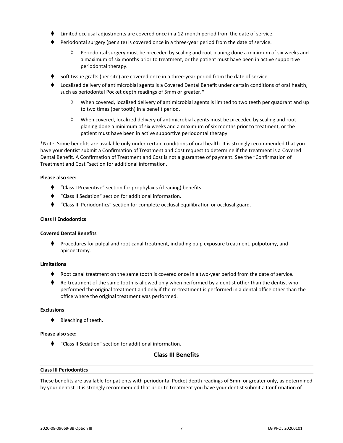- Limited occlusal adjustments are covered once in a 12-month period from the date of service.
- ⧫ Periodontal surgery (per site) is covered once in a three-year period from the date of service.
	- $\Diamond$  Periodontal surgery must be preceded by scaling and root planing done a minimum of six weeks and a maximum of six months prior to treatment, or the patient must have been in active supportive periodontal therapy.
- Soft tissue grafts (per site) are covered once in a three-year period from the date of service.
- ⧫ Localized delivery of antimicrobial agents is a Covered Dental Benefit under certain conditions of oral health, such as periodontal Pocket depth readings of 5mm or greater.\*
	- When covered, localized delivery of antimicrobial agents is limited to two teeth per quadrant and up to two times (per tooth) in a benefit period.
	- $\Diamond$  When covered, localized delivery of antimicrobial agents must be preceded by scaling and root planing done a minimum of six weeks and a maximum of six months prior to treatment, or the patient must have been in active supportive periodontal therapy.

\*Note: Some benefits are available only under certain conditions of oral health. It is strongly recommended that you have your dentist submit a Confirmation of Treatment and Cost request to determine if the treatment is a Covered Dental Benefit. A Confirmation of Treatment and Cost is not a guarantee of payment. See the "Confirmation of Treatment and Cost "section for additional information.

#### **Please also see:**

- ⧫ "Class I Preventive" section for prophylaxis (cleaning) benefits.
- ⧫ "Class II Sedation" section for additional information.
- ⧫ "Class III Periodontics" section for complete occlusal equilibration or occlusal guard.

#### **Class II Endodontics**

#### **Covered Dental Benefits**

⧫ Procedures for pulpal and root canal treatment, including pulp exposure treatment, pulpotomy, and apicoectomy.

#### **Limitations**

- Root canal treatment on the same tooth is covered once in a two-year period from the date of service.
- ♦ Re-treatment of the same tooth is allowed only when performed by a dentist other than the dentist who performed the original treatment and only if the re-treatment is performed in a dental office other than the office where the original treatment was performed.

#### **Exclusions**

⧫ Bleaching of teeth.

#### **Please also see:**

⧫ "Class II Sedation" section for additional information.

## **Class III Benefits**

#### **Class III Periodontics**

These benefits are available for patients with periodontal Pocket depth readings of 5mm or greater only, as determined by your dentist. It is strongly recommended that prior to treatment you have your dentist submit a Confirmation of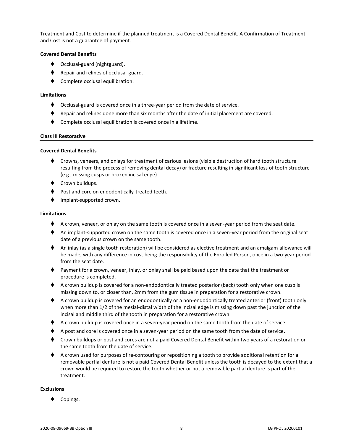Treatment and Cost to determine if the planned treatment is a Covered Dental Benefit. A Confirmation of Treatment and Cost is not a guarantee of payment.

#### **Covered Dental Benefits**

- ◆ Occlusal-guard (nightguard).
- ◆ Repair and relines of occlusal-guard.
- Complete occlusal equilibration.

#### **Limitations**

- ⧫ Occlusal-guard is covered once in a three-year period from the date of service.
- ⧫ Repair and relines done more than six months after the date of initial placement are covered.
- Complete occlusal equilibration is covered once in a lifetime.

#### **Class III Restorative**

#### **Covered Dental Benefits**

- ⧫ Crowns, veneers, and onlays for treatment of carious lesions (visible destruction of hard tooth structure resulting from the process of removing dental decay) or fracture resulting in significant loss of tooth structure (e.g., missing cusps or broken incisal edge).
- ◆ Crown buildups.
- Post and core on endodontically-treated teeth.
- ⧫ Implant-supported crown.

#### **Limitations**

- ♦ A crown, veneer, or onlay on the same tooth is covered once in a seven-year period from the seat date.
- ♦ An implant-supported crown on the same tooth is covered once in a seven-year period from the original seat date of a previous crown on the same tooth.
- ◆ An inlay (as a single tooth restoration) will be considered as elective treatment and an amalgam allowance will be made, with any difference in cost being the responsibility of the Enrolled Person, once in a two-year period from the seat date.
- ⧫ Payment for a crown, veneer, inlay, or onlay shall be paid based upon the date that the treatment or procedure is completed.
- ♦ A crown buildup is covered for a non-endodontically treated posterior (back) tooth only when one cusp is missing down to, or closer than, 2mm from the gum tissue in preparation for a restorative crown.
- ♦ A crown buildup is covered for an endodontically or a non-endodontically treated anterior (front) tooth only when more than 1/2 of the mesial-distal width of the incisal edge is missing down past the junction of the incisal and middle third of the tooth in preparation for a restorative crown.
- ◆ A crown buildup is covered once in a seven-year period on the same tooth from the date of service.
- ♦ A post and core is covered once in a seven-year period on the same tooth from the date of service.
- ◆ Crown buildups or post and cores are not a paid Covered Dental Benefit within two years of a restoration on the same tooth from the date of service.
- ◆ A crown used for purposes of re-contouring or repositioning a tooth to provide additional retention for a removable partial denture is not a paid Covered Dental Benefit unless the tooth is decayed to the extent that a crown would be required to restore the tooth whether or not a removable partial denture is part of the treatment.

#### **Exclusions**

Copings.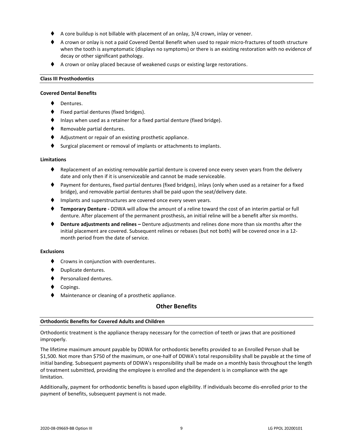- A core buildup is not billable with placement of an onlay, 3/4 crown, inlay or veneer.
- ♦ A crown or onlay is not a paid Covered Dental Benefit when used to repair micro-fractures of tooth structure when the tooth is asymptomatic (displays no symptoms) or there is an existing restoration with no evidence of decay or other significant pathology.
- ◆ A crown or onlay placed because of weakened cusps or existing large restorations.

#### **Class III Prosthodontics**

#### **Covered Dental Benefits**

- Dentures.
- ⧫ Fixed partial dentures (fixed bridges).
- Inlays when used as a retainer for a fixed partial denture (fixed bridge).
- ◆ Removable partial dentures.
- ◆ Adjustment or repair of an existing prosthetic appliance.
- Surgical placement or removal of implants or attachments to implants.

#### **Limitations**

- Replacement of an existing removable partial denture is covered once every seven years from the delivery date and only then if it is unserviceable and cannot be made serviceable.
- ⧫ Payment for dentures, fixed partial dentures (fixed bridges), inlays (only when used as a retainer for a fixed bridge), and removable partial dentures shall be paid upon the seat/delivery date.
- ♦ Implants and superstructures are covered once every seven years.
- ⧫ **Temporary Denture -** DDWA will allow the amount of a reline toward the cost of an interim partial or full denture. After placement of the permanent prosthesis, an initial reline will be a benefit after six months.
- ⧫ **Denture adjustments and relines –** Denture adjustments and relines done more than six months after the initial placement are covered. Subsequent relines or rebases (but not both) will be covered once in a 12 month period from the date of service.

#### **Exclusions**

- ◆ Crowns in conjunction with overdentures.
- ⧫ Duplicate dentures.
- ◆ Personalized dentures.
- Copings.
- ◆ Maintenance or cleaning of a prosthetic appliance.

## **Other Benefits**

#### **Orthodontic Benefits for Covered Adults and Children**

Orthodontic treatment is the appliance therapy necessary for the correction of teeth or jaws that are positioned improperly.

The lifetime maximum amount payable by DDWA for orthodontic benefits provided to an Enrolled Person shall be \$1,500. Not more than \$750 of the maximum, or one-half of DDWA's total responsibility shall be payable at the time of initial banding. Subsequent payments of DDWA's responsibility shall be made on a monthly basis throughout the length of treatment submitted, providing the employee is enrolled and the dependent is in compliance with the age limitation.

Additionally, payment for orthodontic benefits is based upon eligibility. If individuals become dis-enrolled prior to the payment of benefits, subsequent payment is not made.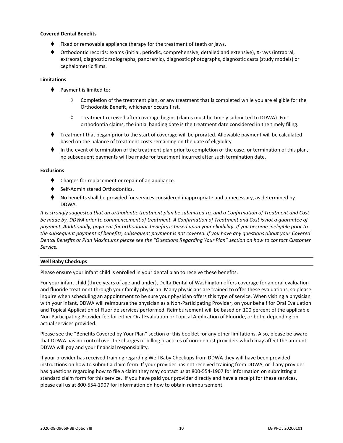#### **Covered Dental Benefits**

- Fixed or removable appliance therapy for the treatment of teeth or jaws.
- ⧫ Orthodontic records: exams (initial, periodic, comprehensive, detailed and extensive), X-rays (intraoral, extraoral, diagnostic radiographs, panoramic), diagnostic photographs, diagnostic casts (study models) or cephalometric films.

#### **Limitations**

- ♦ Payment is limited to:
	- $\Diamond$  Completion of the treatment plan, or any treatment that is completed while you are eligible for the Orthodontic Benefit, whichever occurs first.
	- $\Diamond$  Treatment received after coverage begins (claims must be timely submitted to DDWA). For orthodontia claims, the initial banding date is the treatment date considered in the timely filing.
- ⧫ Treatment that began prior to the start of coverage will be prorated. Allowable payment will be calculated based on the balance of treatment costs remaining on the date of eligibility.
- ⧫ In the event of termination of the treatment plan prior to completion of the case, or termination of this plan, no subsequent payments will be made for treatment incurred after such termination date.

#### **Exclusions**

- ⧫ Charges for replacement or repair of an appliance.
- Self-Administered Orthodontics.
- No benefits shall be provided for services considered inappropriate and unnecessary, as determined by DDWA.

*It is strongly suggested that an orthodontic treatment plan be submitted to, and a Confirmation of Treatment and Cost be made by, DDWA prior to commencement of treatment. A Confirmation of Treatment and Cost is not a guarantee of payment. Additionally, payment for orthodontic benefits is based upon your eligibility. If you become ineligible prior to the subsequent payment of benefits, subsequent payment is not covered. If you have any questions about your Covered Dental Benefits or Plan Maximums please see the "Questions Regarding Your Plan" section on how to contact Customer Service.*

#### **Well Baby Checkups**

Please ensure your infant child is enrolled in your dental plan to receive these benefits.

For your infant child (three years of age and under), Delta Dental of Washington offers coverage for an oral evaluation and fluoride treatment through your family physician. Many physicians are trained to offer these evaluations, so please inquire when scheduling an appointment to be sure your physician offers this type of service. When visiting a physician with your infant, DDWA will reimburse the physician as a Non-Participating Provider, on your behalf for Oral Evaluation and Topical Application of Fluoride services performed. Reimbursement will be based on 100 percent of the applicable Non-Participating Provider fee for either Oral Evaluation or Topical Application of Fluoride, or both, depending on actual services provided.

Please see the "Benefits Covered by Your Plan" section of this booklet for any other limitations. Also, please be aware that DDWA has no control over the charges or billing practices of non-dentist providers which may affect the amount DDWA will pay and your financial responsibility.

If your provider has received training regarding Well Baby Checkups from DDWA they will have been provided instructions on how to submit a claim form. If your provider has not received training from DDWA, or if any provider has questions regarding how to file a claim they may contact us at 800-554-1907 for information on submitting a standard claim form for this service. If you have paid your provider directly and have a receipt for these services, please call us at 800-554-1907 for information on how to obtain reimbursement.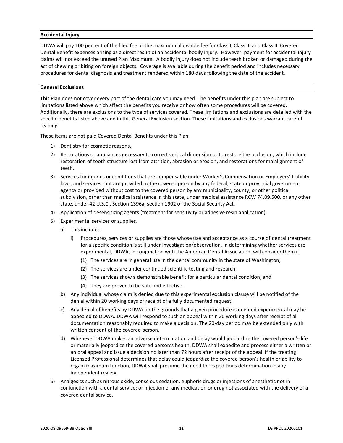#### **Accidental Injury**

DDWA will pay 100 percent of the filed fee or the maximum allowable fee for Class I, Class II, and Class III Covered Dental Benefit expenses arising as a direct result of an accidental bodily injury. However, payment for accidental injury claims will not exceed the unused Plan Maximum. A bodily injury does not include teeth broken or damaged during the act of chewing or biting on foreign objects. Coverage is available during the benefit period and includes necessary procedures for dental diagnosis and treatment rendered within 180 days following the date of the accident.

#### **General Exclusions**

This Plan does not cover every part of the dental care you may need. The benefits under this plan are subject to limitations listed above which affect the benefits you receive or how often some procedures will be covered. Additionally, there are exclusions to the type of services covered. These limitations and exclusions are detailed with the specific benefits listed above and in this General Exclusion section. These limitations and exclusions warrant careful reading.

These items are not paid Covered Dental Benefits under this Plan.

- 1) Dentistry for cosmetic reasons.
- 2) Restorations or appliances necessary to correct vertical dimension or to restore the occlusion, which include restoration of tooth structure lost from attrition, abrasion or erosion, and restorations for malalignment of teeth.
- 3) Services for injuries or conditions that are compensable under Worker's Compensation or Employers' Liability laws, and services that are provided to the covered person by any federal, state or provincial government agency or provided without cost to the covered person by any municipality, county, or other political subdivision, other than medical assistance in this state, under medical assistance RCW 74.09.500, or any other state, under 42 U.S.C., Section 1396a, section 1902 of the Social Security Act.
- 4) Application of desensitizing agents (treatment for sensitivity or adhesive resin application).
- 5) Experimental services or supplies.
	- a) This includes:
		- i) Procedures, services or supplies are those whose use and acceptance as a course of dental treatment for a specific condition is still under investigation/observation. In determining whether services are experimental, DDWA, in conjunction with the American Dental Association, will consider them if:
			- (1) The services are in general use in the dental community in the state of Washington;
			- (2) The services are under continued scientific testing and research;
			- (3) The services show a demonstrable benefit for a particular dental condition; and
			- (4) They are proven to be safe and effective.
	- b) Any individual whose claim is denied due to this experimental exclusion clause will be notified of the denial within 20 working days of receipt of a fully documented request.
	- c) Any denial of benefits by DDWA on the grounds that a given procedure is deemed experimental may be appealed to DDWA. DDWA will respond to such an appeal within 20 working days after receipt of all documentation reasonably required to make a decision. The 20-day period may be extended only with written consent of the covered person.
	- d) Whenever DDWA makes an adverse determination and delay would jeopardize the covered person's life or materially jeopardize the covered person's health, DDWA shall expedite and process either a written or an oral appeal and issue a decision no later than 72 hours after receipt of the appeal. If the treating Licensed Professional determines that delay could jeopardize the covered person's health or ability to regain maximum function, DDWA shall presume the need for expeditious determination in any independent review.
- 6) Analgesics such as nitrous oxide, conscious sedation, euphoric drugs or injections of anesthetic not in conjunction with a dental service; or injection of any medication or drug not associated with the delivery of a covered dental service.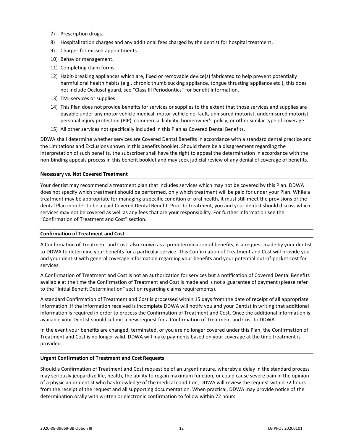- 7) Prescription drugs.
- 8) Hospitalization charges and any additional fees charged by the dentist for hospital treatment.
- 9) Charges for missed appointments.
- 10) Behavior management.
- 11) Completing claim forms.
- 12) Habit-breaking appliances which are, fixed or removable device(s) fabricated to help prevent potentially harmful oral health habits (e.g., chronic thumb sucking appliance, tongue thrusting appliance etc.), this does not include Occlusal-guard, see "Class III Periodontics" for benefit information.
- 13) TMJ services or supplies.
- 14) This Plan does not provide benefits for services or supplies to the extent that those services and supplies are payable under any motor vehicle medical, motor vehicle no-fault, uninsured motorist, underinsured motorist, personal injury protection (PIP), commercial liability, homeowner's policy, or other similar type of coverage.
- 15) All other services not specifically included in this Plan as Covered Dental Benefits.

DDWA shall determine whether services are Covered Dental Benefits in accordance with a standard dental practice and the Limitations and Exclusions shown in this benefits booklet. Should there be a disagreement regarding the interpretation of such benefits, the subscriber shall have the right to appeal the determination in accordance with the non-binding appeals process in this benefit booklet and may seek judicial review of any denial of coverage of benefits.

#### **Necessary vs. Not Covered Treatment**

Your dentist may recommend a treatment plan that includes services which may not be covered by this Plan. DDWA does not specify which treatment should be performed, only which treatment will be paid for under your Plan. While a treatment may be appropriate for managing a specific condition of oral health, it must still meet the provisions of the dental Plan in order to be a paid Covered Dental Benefit. Prior to treatment, you and your dentist should discuss which services may not be covered as well as any fees that are your responsibility. For further information see the "Confirmation of Treatment and Cost" section.

#### **Confirmation of Treatment and Cost**

A Confirmation of Treatment and Cost, also known as a predetermination of benefits, is a request made by your dentist to DDWA to determine your benefits for a particular service. This Confirmation of Treatment and Cost will provide you and your dentist with general coverage information regarding your benefits and your potential out-of-pocket cost for services.

A Confirmation of Treatment and Cost is not an authorization for services but a notification of Covered Dental Benefits available at the time the Confirmation of Treatment and Cost is made and is not a guarantee of payment (please refer to the "Initial Benefit Determination" section regarding claims requirements).

A standard Confirmation of Treatment and Cost is processed within 15 days from the date of receipt of all appropriate information. If the information received is incomplete DDWA will notify you and your Dentist in writing that additional information is required in order to process the Confirmation of Treatment and Cost. Once the additional information is available your Dentist should submit a new request for a Confirmation of Treatment and Cost to DDWA.

In the event your benefits are changed, terminated, or you are no longer covered under this Plan, the Confirmation of Treatment and Cost is no longer valid. DDWA will make payments based on your coverage at the time treatment is provided.

#### **Urgent Confirmation of Treatment and Cost Requests**

Should a Confirmation of Treatment and Cost request be of an urgent nature, whereby a delay in the standard process may seriously jeopardize life, health, the ability to regain maximum function, or could cause severe pain in the opinion of a physician or dentist who has knowledge of the medical condition, DDWA will review the request within 72 hours from the receipt of the request and all supporting documentation. When practical, DDWA may provide notice of the determination orally with written or electronic confirmation to follow within 72 hours.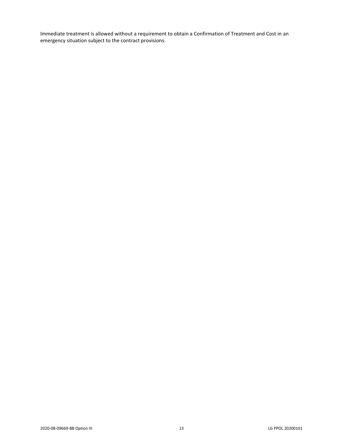Immediate treatment is allowed without a requirement to obtain a Confirmation of Treatment and Cost in an emergency situation subject to the contract provisions.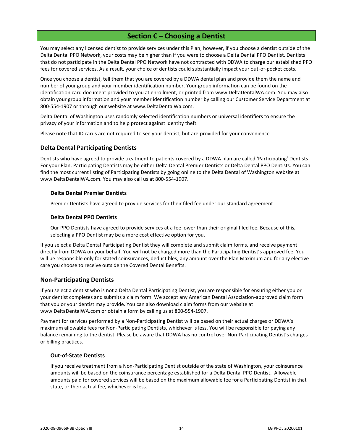## **Section C – Choosing a Dentist**

<span id="page-16-0"></span>You may select any licensed dentist to provide services under this Plan; however, if you choose a dentist outside of the Delta Dental PPO Network, your costs may be higher than if you were to choose a Delta Dental PPO Dentist. Dentists that do not participate in the Delta Dental PPO Network have not contracted with DDWA to charge our established PPO fees for covered services. As a result, your choice of dentists could substantially impact your out-of-pocket costs.

Once you choose a dentist, tell them that you are covered by a DDWA dental plan and provide them the name and number of your group and your member identification number. Your group information can be found on the identification card document provided to you at enrollment, or printed from www.DeltaDentalWA.com. You may also obtain your group information and your member identification number by calling our Customer Service Department at 800-554-1907 or through our website at www.DeltaDentalWa.com.

Delta Dental of Washington uses randomly selected identification numbers or universal identifiers to ensure the privacy of your information and to help protect against identity theft.

Please note that ID cards are not required to see your dentist, but are provided for your convenience.

## <span id="page-16-1"></span>**Delta Dental Participating Dentists**

Dentists who have agreed to provide treatment to patients covered by a DDWA plan are called 'Participating' Dentists. For your Plan, Participating Dentists may be either Delta Dental Premier Dentists or Delta Dental PPO Dentists. You can find the most current listing of Participating Dentists by going online to the Delta Dental of Washington website at www.DeltaDentalWA.com. You may also call us at 800-554-1907.

#### **Delta Dental Premier Dentists**

Premier Dentists have agreed to provide services for their filed fee under our standard agreement.

#### **Delta Dental PPO Dentists**

Our PPO Dentists have agreed to provide services at a fee lower than their original filed fee. Because of this, selecting a PPO Dentist may be a more cost effective option for you.

If you select a Delta Dental Participating Dentist they will complete and submit claim forms, and receive payment directly from DDWA on your behalf. You will not be charged more than the Participating Dentist's approved fee. You will be responsible only for stated coinsurances, deductibles, any amount over the Plan Maximum and for any elective care you choose to receive outside the Covered Dental Benefits.

## <span id="page-16-2"></span>**Non-Participating Dentists**

If you select a dentist who is not a Delta Dental Participating Dentist, you are responsible for ensuring either you or your dentist completes and submits a claim form. We accept any American Dental Association-approved claim form that you or your dentist may provide. You can also download claim forms from our website at www.DeltaDentalWA.com or obtain a form by calling us at 800-554-1907.

Payment for services performed by a Non-Participating Dentist will be based on their actual charges or DDWA's maximum allowable fees for Non-Participating Dentists, whichever is less. You will be responsible for paying any balance remaining to the dentist. Please be aware that DDWA has no control over Non-Participating Dentist's charges or billing practices.

## **Out-of-State Dentists**

If you receive treatment from a Non-Participating Dentist outside of the state of Washington, your coinsurance amounts will be based on the coinsurance percentage established for a Delta Dental PPO Dentist. Allowable amounts paid for covered services will be based on the maximum allowable fee for a Participating Dentist in that state, or their actual fee, whichever is less.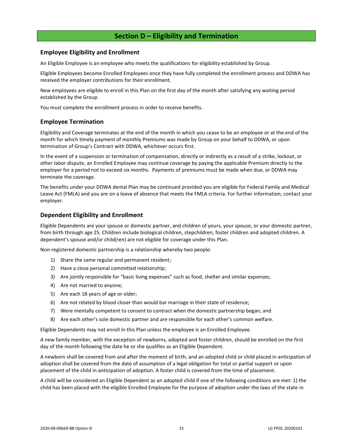## **Section D – Eligibility and Termination**

## <span id="page-17-1"></span><span id="page-17-0"></span>**Employee Eligibility and Enrollment**

An Eligible Employee is an employee who meets the qualifications for eligibility established by Group.

Eligible Employees become Enrolled Employees once they have fully completed the enrollment process and DDWA has received the employer contributions for their enrollment.

New employees are eligible to enroll in this Plan on the first day of the month after satisfying any waiting period established by the Group.

You must complete the enrollment process in order to receive benefits.

## <span id="page-17-2"></span>**Employee Termination**

Eligibility and Coverage terminates at the end of the month in which you cease to be an employee or at the end of the month for which timely payment of monthly Premiums was made by Group on your behalf to DDWA, or upon termination of Group's Contract with DDWA, whichever occurs first.

In the event of a suspension or termination of compensation, directly or indirectly as a result of a strike, lockout, or other labor dispute, an Enrolled Employee may continue coverage by paying the applicable Premium directly to the employer for a period not to exceed six months. Payments of premiums must be made when due, or DDWA may terminate the coverage.

The benefits under your DDWA dental Plan may be continued provided you are eligible for Federal Family and Medical Leave Act (FMLA) and you are on a leave of absence that meets the FMLA criteria. For further information, contact your employer.

## <span id="page-17-3"></span>**Dependent Eligibility and Enrollment**

Eligible Dependents are your spouse or domestic partner, and children of yours, your spouse, or your domestic partner, from birth through age 25. Children include biological children, stepchildren, foster children and adopted children. A dependent's spouse and/or child(ren) are not eligible for coverage under this Plan.

Non-registered domestic partnership is a relationship whereby two people:

- 1) Share the same regular and permanent resident;
- 2) Have a close personal committed relationship;
- 3) Are jointly responsible for "basic living expenses" such as food, shelter and similar expenses;
- 4) Are not married to anyone;
- 5) Are each 18 years of age or older;
- 6) Are not related by blood closer than would bar marriage in their state of residence;
- 7) Were mentally competent to consent to contract when the domestic partnership began; and
- 8) Are each other's sole domestic partner and are responsible for each other's common welfare.

Eligible Dependents may not enroll in this Plan unless the employee is an Enrolled Employee.

A new family member, with the exception of newborns, adopted and foster children, should be enrolled on the first day of the month following the date he or she qualifies as an Eligible Dependent.

A newborn shall be covered from and after the moment of birth, and an adopted child or child placed in anticipation of adoption shall be covered from the date of assumption of a legal obligation for total or partial support or upon placement of the child in anticipation of adoption. A foster child is covered from the time of placement.

A child will be considered an Eligible Dependent as an adopted child if one of the following conditions are met: 1) the child has been placed with the eligible Enrolled Employee for the purpose of adoption under the laws of the state in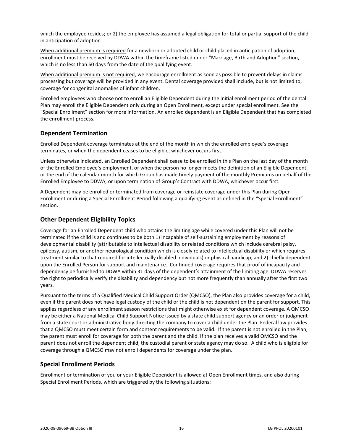which the employee resides; or 2) the employee has assumed a legal obligation for total or partial support of the child in anticipation of adoption.

When additional premium is required for a newborn or adopted child or child placed in anticipation of adoption, enrollment must be received by DDWA within the timeframe listed under "Marriage, Birth and Adoption" section, which is no less than 60 days from the date of the qualifying event.

When additional premium is not required, we encourage enrollment as soon as possible to prevent delays in claims processing but coverage will be provided in any event. Dental coverage provided shall include, but is not limited to, coverage for congenital anomalies of infant children.

Enrolled employees who choose not to enroll an Eligible Dependent during the initial enrollment period of the dental Plan may enroll the Eligible Dependent only during an Open Enrollment, except under special enrollment. See the "Special Enrollment" section for more information. An enrolled dependent is an Eligible Dependent that has completed the enrollment process.

## <span id="page-18-0"></span>**Dependent Termination**

Enrolled Dependent coverage terminates at the end of the month in which the enrolled employee's coverage terminates, or when the dependent ceases to be eligible, whichever occurs first.

Unless otherwise indicated, an Enrolled Dependent shall cease to be enrolled in this Plan on the last day of the month of the Enrolled Employee's employment, or when the person no longer meets the definition of an Eligible Dependent, or the end of the calendar month for which Group has made timely payment of the monthly Premiums on behalf of the Enrolled Employee to DDWA, or upon termination of Group's Contract with DDWA, whichever occur first.

A Dependent may be enrolled or terminated from coverage or reinstate coverage under this Plan during Open Enrollment or during a Special Enrollment Period following a qualifying event as defined in the "Special Enrollment" section.

## <span id="page-18-1"></span>**Other Dependent Eligibility Topics**

Coverage for an Enrolled Dependent child who attains the limiting age while covered under this Plan will not be terminated if the child is and continues to be both 1) incapable of self-sustaining employment by reasons of developmental disability (attributable to intellectual disability or related conditions which include cerebral palsy, epilepsy, autism, or another neurological condition which is closely related to intellectual disability or which requires treatment similar to that required for intellectually disabled individuals) or physical handicap; and 2) chiefly dependent upon the Enrolled Person for support and maintenance. Continued coverage requires that proof of incapacity and dependency be furnished to DDWA within 31 days of the dependent's attainment of the limiting age. DDWA reserves the right to periodically verify the disability and dependency but not more frequently than annually after the first two years.

Pursuant to the terms of a Qualified Medical Child Support Order (QMCSO), the Plan also provides coverage for a child, even if the parent does not have legal custody of the child or the child is not dependent on the parent for support. This applies regardless of any enrollment season restrictions that might otherwise exist for dependent coverage. A QMCSO may be either a National Medical Child Support Notice issued by a state child support agency or an order or judgment from a state court or administrative body directing the company to cover a child under the Plan. Federal law provides that a QMCSO must meet certain form and content requirements to be valid. If the parent is not enrolled in the Plan, the parent must enroll for coverage for both the parent and the child. If the plan receives a valid QMCSO and the parent does not enroll the dependent child, the custodial parent or state agency may do so. A child who is eligible for coverage through a QMCSO may not enroll dependents for coverage under the plan.

## <span id="page-18-2"></span>**Special Enrollment Periods**

Enrollment or termination of you or your Eligible Dependent is allowed at Open Enrollment times, and also during Special Enrollment Periods, which are triggered by the following situations: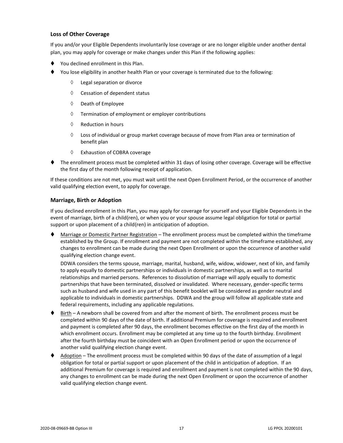## **Loss of Other Coverage**

If you and/or your Eligible Dependents involuntarily lose coverage or are no longer eligible under another dental plan, you may apply for coverage or make changes under this Plan if the following applies:

- You declined enrollment in this Plan.
- You lose eligibility in another health Plan or your coverage is terminated due to the following:
	- Legal separation or divorce
	- $\Diamond$  Cessation of dependent status
	- $\Diamond$  Death of Employee
	- $\Diamond$  Termination of employment or employer contributions
	- $\Diamond$  Reduction in hours
	- $\Diamond$  Loss of individual or group market coverage because of move from Plan area or termination of benefit plan
	- Exhaustion of COBRA coverage
- ⧫ The enrollment process must be completed within 31 days of losing other coverage. Coverage will be effective the first day of the month following receipt of application.

If these conditions are not met, you must wait until the next Open Enrollment Period, or the occurrence of another valid qualifying election event, to apply for coverage.

#### **Marriage, Birth or Adoption**

If you declined enrollment in this Plan, you may apply for coverage for yourself and your Eligible Dependents in the event of marriage, birth of a child(ren), or when you or your spouse assume legal obligation for total or partial support or upon placement of a child(ren) in anticipation of adoption.

Marriage or Domestic Partner Registration – The enrollment process must be completed within the timeframe established by the Group. If enrollment and payment are not completed within the timeframe established, any changes to enrollment can be made during the next Open Enrollment or upon the occurrence of another valid qualifying election change event.

DDWA considers the terms spouse, marriage, marital, husband, wife, widow, widower, next of kin, and family to apply equally to domestic partnerships or individuals in domestic partnerships, as well as to marital relationships and married persons. References to dissolution of marriage will apply equally to domestic partnerships that have been terminated, dissolved or invalidated. Where necessary, gender-specific terms such as husband and wife used in any part of this benefit booklet will be considered as gender neutral and applicable to individuals in domestic partnerships. DDWA and the group will follow all applicable state and federal requirements, including any applicable regulations.

- ♦ Birth A newborn shall be covered from and after the moment of birth. The enrollment process must be completed within 90 days of the date of birth. If additional Premium for coverage is required and enrollment and payment is completed after 90 days, the enrollment becomes effective on the first day of the month in which enrollment occurs. Enrollment may be completed at any time up to the fourth birthday. Enrollment after the fourth birthday must be coincident with an Open Enrollment period or upon the occurrence of another valid qualifying election change event.
- Adoption The enrollment process must be completed within 90 days of the date of assumption of a legal obligation for total or partial support or upon placement of the child in anticipation of adoption. If an additional Premium for coverage is required and enrollment and payment is not completed within the 90 days, any changes to enrollment can be made during the next Open Enrollment or upon the occurrence of another valid qualifying election change event.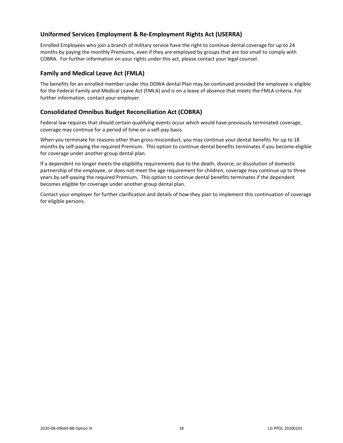## <span id="page-20-0"></span>**Uniformed Services Employment & Re-Employment Rights Act (USERRA)**

Enrolled Employees who join a branch of military service have the right to continue dental coverage for up to 24 months by paying the monthly Premiums, even if they are employed by groups that are too small to comply with COBRA. For further information on your rights under this act, please contact your legal counsel.

## <span id="page-20-1"></span>**Family and Medical Leave Act (FMLA)**

The benefits for an enrolled member under this DDWA dental Plan may be continued provided the employee is eligible for the Federal Family and Medical Leave Act (FMLA) and is on a leave of absence that meets the FMLA criteria. For further information, contact your employer.

## <span id="page-20-2"></span>**Consolidated Omnibus Budget Reconciliation Act (COBRA)**

Federal law requires that should certain qualifying events occur which would have previously terminated coverage, coverage may continue for a period of time on a self-pay basis.

When you terminate for reasons other than gross misconduct, you may continue your dental benefits for up to 18 months by self-paying the required Premium. This option to continue dental benefits terminates if you become eligible for coverage under another group dental plan.

If a dependent no longer meets the eligibility requirements due to the death, divorce, or dissolution of domestic partnership of the employee, or does not meet the age requirement for children, coverage may continue up to three years by self-paying the required Premium. This option to continue dental benefits terminates if the dependent becomes eligible for coverage under another group dental plan.

Contact your employer for further clarification and details of how they plan to implement this continuation of coverage for eligible persons.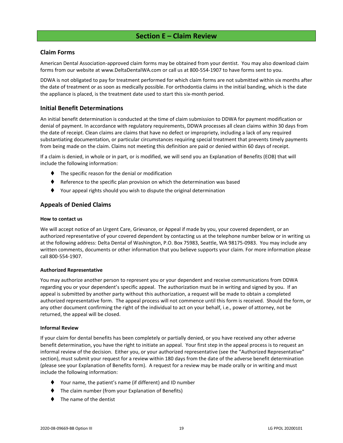## **Section E – Claim Review**

## <span id="page-21-1"></span><span id="page-21-0"></span>**Claim Forms**

American Dental Association-approved claim forms may be obtained from your dentist. You may also download claim forms from our website at www.DeltaDentalWA.com or call us at 800-554-1907 to have forms sent to you.

DDWA is not obligated to pay for treatment performed for which claim forms are not submitted within six months after the date of treatment or as soon as medically possible. For orthodontia claims in the initial banding, which is the date the appliance is placed, is the treatment date used to start this six-month period.

## <span id="page-21-2"></span>**Initial Benefit Determinations**

An initial benefit determination is conducted at the time of claim submission to DDWA for payment modification or denial of payment. In accordance with regulatory requirements, DDWA processes all clean claims within 30 days from the date of receipt. Clean claims are claims that have no defect or impropriety, including a lack of any required substantiating documentation, or particular circumstances requiring special treatment that prevents timely payments from being made on the claim. Claims not meeting this definition are paid or denied within 60 days of receipt.

If a claim is denied, in whole or in part, or is modified, we will send you an Explanation of Benefits (EOB) that will include the following information:

- The specific reason for the denial or modification
- Reference to the specific plan provision on which the determination was based
- Your appeal rights should you wish to dispute the original determination

## <span id="page-21-3"></span>**Appeals of Denied Claims**

#### **How to contact us**

We will accept notice of an Urgent Care, Grievance, or Appeal if made by you, your covered dependent, or an authorized representative of your covered dependent by contacting us at the telephone number below or in writing us at the following address: Delta Dental of Washington, P.O. Box 75983, Seattle, WA 98175-0983. You may include any written comments, documents or other information that you believe supports your claim. For more information please call 800-554-1907.

#### **Authorized Representative**

You may authorize another person to represent you or your dependent and receive communications from DDWA regarding you or your dependent's specific appeal. The authorization must be in writing and signed by you. If an appeal is submitted by another party without this authorization, a request will be made to obtain a completed authorized representative form. The appeal process will not commence until this form is received. Should the form, or any other document confirming the right of the individual to act on your behalf, i.e., power of attorney, not be returned, the appeal will be closed.

#### **Informal Review**

If your claim for dental benefits has been completely or partially denied, or you have received any other adverse benefit determination, you have the right to initiate an appeal. Your first step in the appeal process is to request an informal review of the decision. Either you, or your authorized representative (see the "Authorized Representative" section), must submit your request for a review within 180 days from the date of the adverse benefit determination (please see your Explanation of Benefits form). A request for a review may be made orally or in writing and must include the following information:

- ⧫ Your name, the patient's name (if different) and ID number
- The claim number (from your Explanation of Benefits)
- The name of the dentist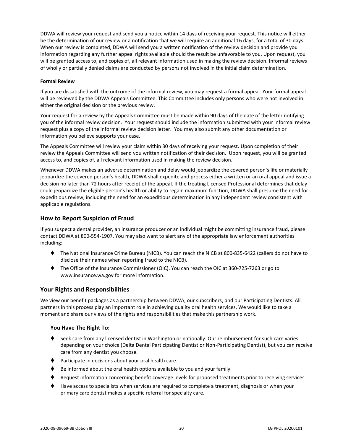DDWA will review your request and send you a notice within 14 days of receiving your request. This notice will either be the determination of our review or a notification that we will require an additional 16 days, for a total of 30 days. When our review is completed, DDWA will send you a written notification of the review decision and provide you information regarding any further appeal rights available should the result be unfavorable to you. Upon request, you will be granted access to, and copies of, all relevant information used in making the review decision. Informal reviews of wholly or partially denied claims are conducted by persons not involved in the initial claim determination.

#### **Formal Review**

If you are dissatisfied with the outcome of the informal review, you may request a formal appeal. Your formal appeal will be reviewed by the DDWA Appeals Committee. This Committee includes only persons who were not involved in either the original decision or the previous review.

Your request for a review by the Appeals Committee must be made within 90 days of the date of the letter notifying you of the informal review decision. Your request should include the information submitted with your informal review request plus a copy of the informal review decision letter. You may also submit any other documentation or information you believe supports your case.

The Appeals Committee will review your claim within 30 days of receiving your request. Upon completion of their review the Appeals Committee will send you written notification of their decision. Upon request, you will be granted access to, and copies of, all relevant information used in making the review decision.

Whenever DDWA makes an adverse determination and delay would jeopardize the covered person's life or materially jeopardize the covered person's health, DDWA shall expedite and process either a written or an oral appeal and issue a decision no later than 72 hours after receipt of the appeal. If the treating Licensed Professional determines that delay could jeopardize the eligible person's health or ability to regain maximum function, DDWA shall presume the need for expeditious review, including the need for an expeditious determination in any independent review consistent with applicable regulations.

## <span id="page-22-0"></span>**How to Report Suspicion of Fraud**

If you suspect a dental provider, an insurance producer or an individual might be committing insurance fraud, please contact DDWA at 800-554-1907. You may also want to alert any of the appropriate law enforcement authorities including:

- ⧫ The National Insurance Crime Bureau (NICB). You can reach the NICB at 800-835-6422 (callers do not have to disclose their names when reporting fraud to the NICB).
- ⧫ The Office of the Insurance Commissioner (OIC). You can reach the OIC at 360-725-7263 or go to www.insurance.wa.gov for more information.

## <span id="page-22-1"></span>**Your Rights and Responsibilities**

We view our benefit packages as a partnership between DDWA, our subscribers, and our Participating Dentists. All partners in this process play an important role in achieving quality oral health services. We would like to take a moment and share our views of the rights and responsibilities that make this partnership work.

## **You Have The Right To:**

- ♦ Seek care from any licensed dentist in Washington or nationally. Our reimbursement for such care varies depending on your choice (Delta Dental Participating Dentist or Non-Participating Dentist), but you can receive care from any dentist you choose.
- ⧫ Participate in decisions about your oral health care.
- Be informed about the oral health options available to you and your family.
- ♦ Request information concerning benefit coverage levels for proposed treatments prior to receiving services.
- ⧫ Have access to specialists when services are required to complete a treatment, diagnosis or when your primary care dentist makes a specific referral for specialty care.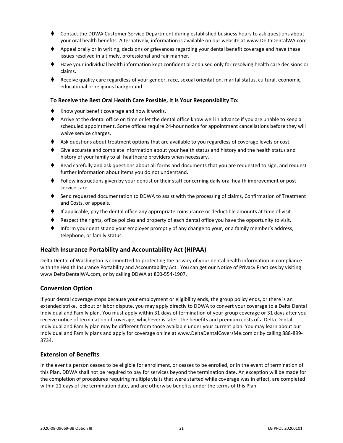- ⧫ Contact the DDWA Customer Service Department during established business hours to ask questions about your oral health benefits. Alternatively, information is available on our website at www.DeltaDentalWA.com.
- ♦ Appeal orally or in writing, decisions or grievances regarding your dental benefit coverage and have these issues resolved in a timely, professional and fair manner.
- ⧫ Have your individual health information kept confidential and used only for resolving health care decisions or claims.
- ⧫ Receive quality care regardless of your gender, race, sexual orientation, marital status, cultural, economic, educational or religious background.

#### **To Receive the Best Oral Health Care Possible, It Is Your Responsibility To:**

- ♦ Know your benefit coverage and how it works.
- ⧫ Arrive at the dental office on time or let the dental office know well in advance if you are unable to keep a scheduled appointment. Some offices require 24-hour notice for appointment cancellations before they will waive service charges.
- ♦ Ask questions about treatment options that are available to you regardless of coverage levels or cost.
- ♦ Give accurate and complete information about your health status and history and the health status and history of your family to all healthcare providers when necessary.
- ♦ Read carefully and ask questions about all forms and documents that you are requested to sign, and request further information about items you do not understand.
- ⧫ Follow instructions given by your dentist or their staff concerning daily oral health improvement or post service care.
- ♦ Send requested documentation to DDWA to assist with the processing of claims, Confirmation of Treatment and Costs, or appeals.
- ⧫ If applicable, pay the dental office any appropriate coinsurance or deductible amounts at time of visit.
- Respect the rights, office policies and property of each dental office you have the opportunity to visit.
- Inform your dentist and your employer promptly of any change to your, or a family member's address, telephone, or family status.

## <span id="page-23-0"></span>**Health Insurance Portability and Accountability Act (HIPAA)**

Delta Dental of Washington is committed to protecting the privacy of your dental health information in compliance with the Health Insurance Portability and Accountability Act. You can get our Notice of Privacy Practices by visiting www.DeltaDentalWA.com, or by calling DDWA at 800-554-1907.

## <span id="page-23-1"></span>**Conversion Option**

If your dental coverage stops because your employment or eligibility ends, the group policy ends, or there is an extended strike, lockout or labor dispute, you may apply directly to DDWA to convert your coverage to a Delta Dental Individual and Family plan. You must apply within 31 days of termination of your group coverage or 31 days after you receive notice of termination of coverage, whichever is later. The benefits and premium costs of a Delta Dental Individual and Family plan may be different from those available under your current plan. You may learn about our Individual and Family plans and apply for coverage online at www.DeltaDentalCoversMe.com or by calling 888-899- 3734.

## <span id="page-23-2"></span>**Extension of Benefits**

In the event a person ceases to be eligible for enrollment, or ceases to be enrolled, or in the event of termination of this Plan, DDWA shall not be required to pay for services beyond the termination date. An exception will be made for the completion of procedures requiring multiple visits that were started while coverage was in effect, are completed within 21 days of the termination date, and are otherwise benefits under the terms of this Plan.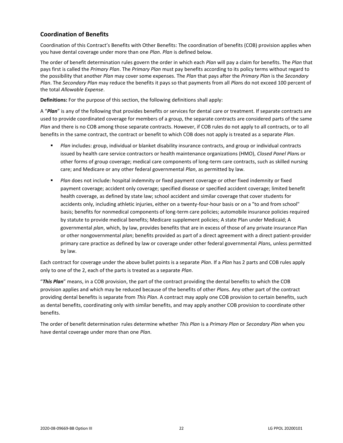## <span id="page-24-0"></span>**Coordination of Benefits**

Coordination of this Contract's Benefits with Other Benefits: The coordination of benefits (COB) provision applies when you have dental coverage under more than one *Plan*. *Plan* is defined below.

The order of benefit determination rules govern the order in which each *Plan* will pay a claim for benefits. The *Plan* that pays first is called the *Primary Plan*. The *Primary Plan* must pay benefits according to its policy terms without regard to the possibility that another *Plan* may cover some expenses. The *Plan* that pays after the *Primary Plan* is the *Secondary Plan*. The *Secondary Plan* may reduce the benefits it pays so that payments from all *Plan*s do not exceed 100 percent of the total *Allowable Expense*.

**Definitions:** For the purpose of this section, the following definitions shall apply:

A "*Plan*" is any of the following that provides benefits or services for dental care or treatment. If separate contracts are used to provide coordinated coverage for members of a group, the separate contracts are considered parts of the same *Plan* and there is no COB among those separate contracts. However, if COB rules do not apply to all contracts, or to all benefits in the same contract, the contract or benefit to which COB does not apply is treated as a separate *Plan*.

- *Plan* includes: group, individual or blanket disability insurance contracts, and group or individual contracts issued by health care service contractors or health maintenance organizations (HMO), *Closed Panel Plan*s or other forms of group coverage; medical care components of long-term care contracts, such as skilled nursing care; and Medicare or any other federal governmental *Plan*, as permitted by law.
- **■** *Plan* does not include: hospital indemnity or fixed payment coverage or other fixed indemnity or fixed payment coverage; accident only coverage; specified disease or specified accident coverage; limited benefit health coverage, as defined by state law; school accident and similar coverage that cover students for accidents only, including athletic injuries, either on a twenty-four-hour basis or on a "to and from school" basis; benefits for nonmedical components of long-term care policies; automobile insurance policies required by statute to provide medical benefits; Medicare supplement policies; A state Plan under Medicaid; A governmental *plan*, which, by law, provides benefits that are in excess of those of any private insurance Plan or other nongovernmental *plan*; benefits provided as part of a direct agreement with a direct patient-provider primary care practice as defined by law or coverage under other federal governmental *Plan*s, unless permitted by law.

Each contract for coverage under the above bullet points is a separate *Plan*. If a *Plan* has 2 parts and COB rules apply only to one of the 2, each of the parts is treated as a separate *Plan*.

"*This Plan*" means, in a COB provision, the part of the contract providing the dental benefits to which the COB provision applies and which may be reduced because of the benefits of other *Plan*s. Any other part of the contract providing dental benefits is separate from *This Plan*. A contract may apply one COB provision to certain benefits, such as dental benefits, coordinating only with similar benefits, and may apply another COB provision to coordinate other benefits.

The order of benefit determination rules determine whether *This Plan* is a *Primary Plan* or *Secondary Plan* when you have dental coverage under more than one *Plan*.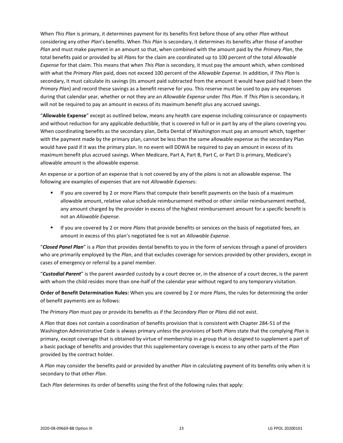When *This Plan* is primary, it determines payment for its benefits first before those of any other *Plan* without considering any other *Plan*'s benefits. When *This Plan* is secondary, it determines its benefits after those of another *Plan* and must make payment in an amount so that, when combined with the amount paid by the *Primary Plan*, the total benefits paid or provided by all *Plan*s for the claim are coordinated up to 100 percent of the total *Allowable Expense* for that claim. This means that when *This Plan* is secondary, it must pay the amount which, when combined with what the *Primary Plan* paid, does not exceed 100 percent of the *Allowable Expense*. In addition, if *This Plan* is secondary, it must calculate its savings (its amount paid subtracted from the amount it would have paid had it been the *Primary Plan*) and record these savings as a benefit reserve for you. This reserve must be used to pay any expenses during that calendar year, whether or not they are an *Allowable Expense* under *This Plan*. If *This Plan* is secondary, it will not be required to pay an amount in excess of its maximum benefit plus any accrued savings.

"**Allowable Expense**" except as outlined below, means any health care expense including coinsurance or copayments and without reduction for any applicable deductible, that is covered in full or in part by any of the plans covering you. When coordinating benefits as the secondary plan, Delta Dental of Washington must pay an amount which, together with the payment made by the primary plan, cannot be less than the same allowable expense as the secondary Plan would have paid if it was the primary plan. In no event will DDWA be required to pay an amount in excess of its maximum benefit plus accrued savings. When Medicare, Part A, Part B, Part C, or Part D is primary, Medicare's allowable amount is the allowable expense.

An expense or a portion of an expense that is not covered by any of the *plan*s is not an allowable expense. The following are examples of expenses that are not *Allowable Expense*s:

- **■** If you are covered by 2 or more Plans that compute their benefit payments on the basis of a maximum allowable amount, relative value schedule reimbursement method or other similar reimbursement method, any amount charged by the provider in excess of the highest reimbursement amount for a specific benefit is not an *Allowable Expense*.
- If you are covered by 2 or more *Plan*s that provide benefits or services on the basis of negotiated fees, an amount in excess of this plan's negotiated fee is not an *Allowable Expense*.

"*Closed Panel Plan*" is a *Plan* that provides dental benefits to you in the form of services through a panel of providers who are primarily employed by the *Plan*, and that excludes coverage for services provided by other providers, except in cases of emergency or referral by a panel member.

"*Custodial Parent*" is the parent awarded custody by a court decree or, in the absence of a court decree, is the parent with whom the child resides more than one-half of the calendar year without regard to any temporary visitation.

**Order of Benefit Determination Rules:** When you are covered by 2 or more *Plan*s, the rules for determining the order of benefit payments are as follows:

The *Primary Plan* must pay or provide its benefits as if the *Secondary Plan* or *Plans* did not exist.

A *Plan* that does not contain a coordination of benefits provision that is consistent with Chapter 284-51 of the Washington Administrative Code is always primary unless the provisions of both *Plan*s state that the complying *Plan* is primary, except coverage that is obtained by virtue of membership in a group that is designed to supplement a part of a basic package of benefits and provides that this supplementary coverage is excess to any other parts of the *Plan* provided by the contract holder.

A *Plan* may consider the benefits paid or provided by another *Plan* in calculating payment of its benefits only when it is secondary to that other *Plan*.

Each *Plan* determines its order of benefits using the first of the following rules that apply: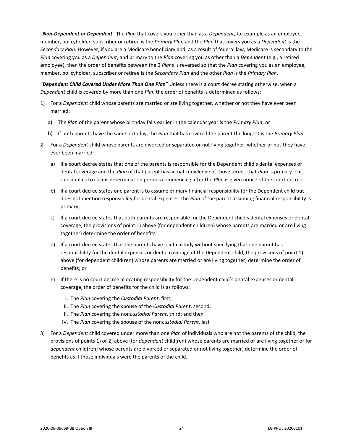"*Non-Dependent or Dependent*" The *Plan* that covers you other than as a *Dependent*, for example as an employee, member, policyholder, subscriber or retiree is the *Primary Plan* and the *Plan* that covers you as a *Dependent* is the *Secondary Plan*. However, if you are a Medicare beneficiary and, as a result of federal law, Medicare is secondary to the *Plan* covering you as a *Dependent*, and primary to the *Plan* covering you as other than a *Dependent* (e.g., a retired employee), then the order of benefits between the 2 *Plan*s is reversed so that the *Plan* covering you as an employee, member, policyholder, subscriber or retiree is the *Secondary Plan* and the other *Plan* is the *Primary Plan*.

"*Dependent Child Covered Under More Than One Plan*" Unless there is a court decree stating otherwise, when a *Dependent* child is covered by more than one *Plan* the order of benefits is determined as follows:

- 1) For a *Dependent* child whose parents are married or are living together, whether or not they have ever been married:
	- a) The *Plan* of the parent whose birthday falls earlier in the calendar year is the *Primary Plan*; or
	- b) If both parents have the same birthday, the *Plan* that has covered the parent the longest is the *Primary Plan*.
- 2) For a *Dependent* child whose parents are divorced or separated or not living together, whether or not they have ever been married:
	- a) If a court decree states that one of the parents is responsible for the Dependent child's dental expenses or dental coverage and the *Plan* of that parent has actual knowledge of those terms, that *Plan* is primary. This rule applies to claims determination periods commencing after the *Plan* is given notice of the court decree;
	- b) If a court decree states one parent is to assume primary financial responsibility for the Dependent child but does not mention responsibility for dental expenses, the *Plan* of the parent assuming financial responsibility is primary;
	- c) If a court decree states that both parents are responsible for the Dependent child's dental expenses or dental coverage, the provisions of point 1) above (for dependent child(ren) whose parents are married or are living together) determine the order of benefits;
	- d) If a court decree states that the parents have joint custody without specifying that one parent has responsibility for the dental expenses or dental coverage of the Dependent child, the provisions of point 1) above (for dependent child(ren) whose parents are married or are living together) determine the order of benefits; or
	- e) If there is no court decree allocating responsibility for the Dependent child's dental expenses or dental coverage, the order of benefits for the child is as follows:
		- I. The *Plan* covering the *Custodial Parent*, first;
		- II. The *Plan* covering the spouse of the *Custodial Parent*, second;
		- III. The *Plan* covering the non*custodial Parent*, third; and then
		- IV. The *Plan* covering the spouse of the non*custodial Parent*, last
- 3) For a *Dependent* child covered under more than one *Plan* of individuals who are not the parents of the child, the provisions of points 1) or 2) above (for *dependent* child(ren) whose parents are married or are living together or for *dependent* child(ren) whose parents are divorced or separated or not living together) determine the order of benefits as if those individuals were the parents of the child.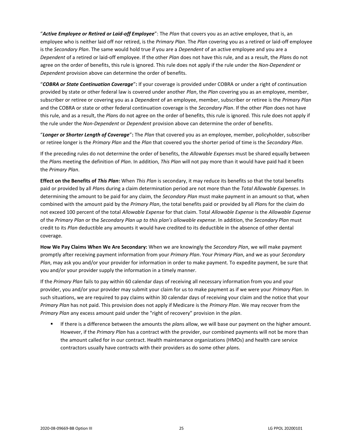"*Active Employee or Retired or Laid-off Employee*": The *Plan* that covers you as an active employee, that is, an employee who is neither laid off nor retired, is the *Primary Plan*. The *Plan* covering you as a retired or laid-off employee is the *Secondary Plan*. The same would hold true if you are a *Dependent* of an active employee and you are a *Dependent* of a retired or laid-off employee. If the other *Plan* does not have this rule, and as a result, the *Plan*s do not agree on the order of benefits, this rule is ignored. This rule does not apply if the rule under the *Non-Dependent* or *Dependent* provision above can determine the order of benefits.

"*COBRA or State Continuation Coverage*"**:** If your coverage is provided under COBRA or under a right of continuation provided by state or other federal law is covered under another *Plan*, the *Plan* covering you as an employee, member, subscriber or retiree or covering you as a *Dependent* of an employee, member, subscriber or retiree is the *Primary Plan* and the COBRA or state or other federal continuation coverage is the *Secondary Plan*. If the other *Plan* does not have this rule, and as a result, the *Plan*s do not agree on the order of benefits, this rule is ignored. This rule does not apply if the rule under the *Non-Dependent* or *Dependent* provision above can determine the order of benefits.

"*Longer or Shorter Length of Coverage*"**:** The *Plan* that covered you as an employee, member, policyholder, subscriber or retiree longer is the *Primary Plan* and the *Plan* that covered you the shorter period of time is the *Secondary Plan*.

If the preceding rules do not determine the order of benefits, the *Allowable Expense*s must be shared equally between the *Plan*s meeting the definition of *Plan*. In addition, *This Plan* will not pay more than it would have paid had it been the *Primary Plan*.

**Effect on the Benefits of** *This Plan***:** When *This Plan* is secondary, it may reduce its benefits so that the total benefits paid or provided by all *Plan*s during a claim determination period are not more than the *Total Allowable Expenses*. In determining the amount to be paid for any claim, the *Secondary Plan* must make payment in an amount so that, when combined with the amount paid by the *Primary Plan*, the total benefits paid or provided by all *Plan*s for the claim do not exceed 100 percent of the total *Allowable Expense* for that claim. Total *Allowable Expense* is the *Allowable Expense* of the *Primary Plan* or the *Secondary Plan up to this plan's allowable expense*. In addition, the *Secondary Plan* must credit to its *Plan* deductible any amounts it would have credited to its deductible in the absence of other dental coverage.

**How We Pay Claims When We Are Secondary:** When we are knowingly the *Secondary Plan*, we will make payment promptly after receiving payment information from your *Primary Plan*. Your *Primary Plan*, and we as your *Secondary Plan*, may ask you and/or your provider for information in order to make payment. To expedite payment, be sure that you and/or your provider supply the information in a timely manner.

If the *Primary Plan* fails to pay within 60 calendar days of receiving all necessary information from you and your provider, you and/or your provider may submit your claim for us to make payment as if we were your *Primary Plan*. In such situations, we are required to pay claims within 30 calendar days of receiving your claim and the notice that your *Primary Plan* has not paid. This provision does not apply if Medicare is the *Primary Plan*. We may recover from the *Primary Plan* any excess amount paid under the "right of recovery" provision in the *plan*.

If there is a difference between the amounts the *plans* allow, we will base our payment on the higher amount. However, if the *Primary Plan* has a contract with the provider, our combined payments will not be more than the amount called for in our contract. Health maintenance organizations (HMOs) and health care service contractors usually have contracts with their providers as do some other *plan*s.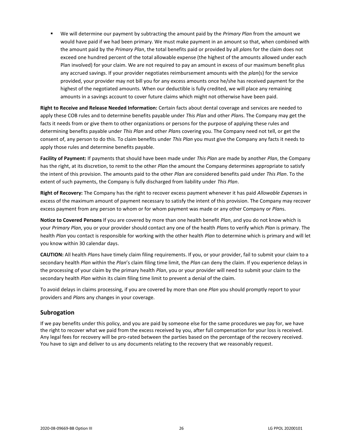▪ We will determine our payment by subtracting the amount paid by the *Primary Plan* from the amount we would have paid if we had been primary. We must make payment in an amount so that, when combined with the amount paid by the *Primary Plan*, the total benefits paid or provided by all *plan*s for the claim does not exceed one hundred percent of the total allowable expense (the highest of the amounts allowed under each Plan involved) for your claim. We are not required to pay an amount in excess of our maximum benefit plus any accrued savings. If your provider negotiates reimbursement amounts with the *plan*(s) for the service provided, your provider may not bill you for any excess amounts once he/she has received payment for the highest of the negotiated amounts. When our deductible is fully credited, we will place any remaining amounts in a savings account to cover future claims which might not otherwise have been paid.

**Right to Receive and Release Needed Information:** Certain facts about dental coverage and services are needed to apply these COB rules and to determine benefits payable under *This Plan* and other *Plan*s. The Company may get the facts it needs from or give them to other organizations or persons for the purpose of applying these rules and determining benefits payable under *This Plan* and other *Plan*s covering you. The Company need not tell, or get the consent of, any person to do this. To claim benefits under *This Plan* you must give the Company any facts it needs to apply those rules and determine benefits payable.

**Facility of Payment:** If payments that should have been made under *This Plan* are made by another *Plan*, the Company has the right, at its discretion, to remit to the other *Plan* the amount the Company determines appropriate to satisfy the intent of this provision. The amounts paid to the other *Plan* are considered benefits paid under *This Plan*. To the extent of such payments, the Company is fully discharged from liability under *This Plan*.

**Right of Recovery:** The Company has the right to recover excess payment whenever it has paid *Allowable Expense*s in excess of the maximum amount of payment necessary to satisfy the intent of this provision. The Company may recover excess payment from any person to whom or for whom payment was made or any other Company or *Plan*s.

**Notice to Covered Persons** If you are covered by more than one health benefit *Plan*, and you do not know which is your *Primary Plan*, you or your provider should contact any one of the health *Plan*s to verify which *Plan* is primary. The health *Plan* you contact is responsible for working with the other health *Plan* to determine which is primary and will let you know within 30 calendar days.

**CAUTION:** All health *Plan*s have timely claim filing requirements. If you, or your provider, fail to submit your claim to a secondary health *Plan* within the *Plan*'s claim filing time limit, the *Plan* can deny the claim. If you experience delays in the processing of your claim by the primary health *Plan*, you or your provider will need to submit your claim to the secondary health *Plan* within its claim filing time limit to prevent a denial of the claim.

To avoid delays in claims processing, if you are covered by more than one *Plan* you should promptly report to your providers and *Plan*s any changes in your coverage.

## <span id="page-28-0"></span>**Subrogation**

If we pay benefits under this policy, and you are paid by someone else for the same procedures we pay for, we have the right to recover what we paid from the excess received by you, after full compensation for your loss is received. Any legal fees for recovery will be pro-rated between the parties based on the percentage of the recovery received. You have to sign and deliver to us any documents relating to the recovery that we reasonably request.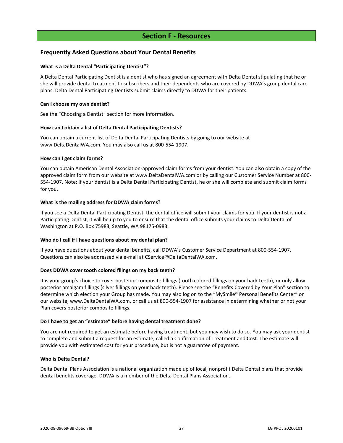## **Section F - Resources**

## <span id="page-29-1"></span><span id="page-29-0"></span>**Frequently Asked Questions about Your Dental Benefits**

#### **What is a Delta Dental "Participating Dentist"?**

A Delta Dental Participating Dentist is a dentist who has signed an agreement with Delta Dental stipulating that he or she will provide dental treatment to subscribers and their dependents who are covered by DDWA's group dental care plans. Delta Dental Participating Dentists submit claims directly to DDWA for their patients.

#### **Can I choose my own dentist?**

See the "Choosing a Dentist" section for more information.

#### **How can I obtain a list of Delta Dental Participating Dentists?**

You can obtain a current list of Delta Dental Participating Dentists by going to our website at www.DeltaDentalWA.com. You may also call us at 800-554-1907.

#### **How can I get claim forms?**

You can obtain American Dental Association-approved claim forms from your dentist. You can also obtain a copy of the approved claim form from our website at www.DeltaDentalWA.com or by calling our Customer Service Number at 800- 554-1907. Note: If your dentist is a Delta Dental Participating Dentist, he or she will complete and submit claim forms for you.

#### **What is the mailing address for DDWA claim forms?**

If you see a Delta Dental Participating Dentist, the dental office will submit your claims for you. If your dentist is not a Participating Dentist, it will be up to you to ensure that the dental office submits your claims to Delta Dental of Washington at P.O. Box 75983, Seattle, WA 98175-0983.

#### **Who do I call if I have questions about my dental plan?**

If you have questions about your dental benefits, call DDWA's Customer Service Department at 800-554-1907. Questions can also be addressed via e-mail at CService@DeltaDentalWA.com.

## **Does DDWA cover tooth colored filings on my back teeth?**

It is your group's choice to cover posterior composite fillings (tooth colored fillings on your back teeth), or only allow posterior amalgam fillings (silver fillings on your back teeth). Please see the "Benefits Covered by Your Plan" section to determine which election your Group has made. You may also log on to the "MySmile® Personal Benefits Center" on our website, www.DeltaDentalWA.com, or call us at 800-554-1907 for assistance in determining whether or not your Plan covers posterior composite fillings.

#### **Do I have to get an "estimate" before having dental treatment done?**

You are not required to get an estimate before having treatment, but you may wish to do so. You may ask your dentist to complete and submit a request for an estimate, called a Confirmation of Treatment and Cost. The estimate will provide you with estimated cost for your procedure, but is not a guarantee of payment.

#### **Who is Delta Dental?**

Delta Dental Plans Association is a national organization made up of local, nonprofit Delta Dental plans that provide dental benefits coverage. DDWA is a member of the Delta Dental Plans Association.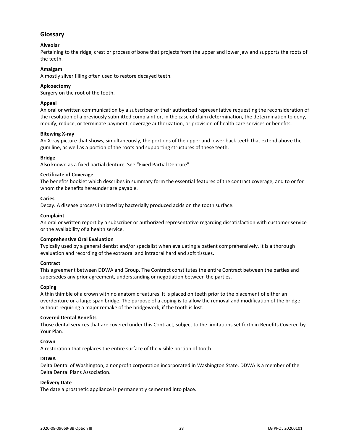## <span id="page-30-0"></span>**Glossary**

## **Alveolar**

Pertaining to the ridge, crest or process of bone that projects from the upper and lower jaw and supports the roots of the teeth.

## **Amalgam**

A mostly silver filling often used to restore decayed teeth.

#### **Apicoectomy**

Surgery on the root of the tooth.

#### **Appeal**

An oral or written communication by a subscriber or their authorized representative requesting the reconsideration of the resolution of a previously submitted complaint or, in the case of claim determination, the determination to deny, modify, reduce, or terminate payment, coverage authorization, or provision of health care services or benefits.

#### **Bitewing X-ray**

An X-ray picture that shows, simultaneously, the portions of the upper and lower back teeth that extend above the gum line, as well as a portion of the roots and supporting structures of these teeth.

#### **Bridge**

Also known as a fixed partial denture. See "Fixed Partial Denture".

#### **Certificate of Coverage**

The benefits booklet which describes in summary form the essential features of the contract coverage, and to or for whom the benefits hereunder are payable.

#### **Caries**

Decay. A disease process initiated by bacterially produced acids on the tooth surface.

#### **Complaint**

An oral or written report by a subscriber or authorized representative regarding dissatisfaction with customer service or the availability of a health service.

#### **Comprehensive Oral Evaluation**

Typically used by a general dentist and/or specialist when evaluating a patient comprehensively. It is a thorough evaluation and recording of the extraoral and intraoral hard and soft tissues.

#### **Contract**

This agreement between DDWA and Group. The Contract constitutes the entire Contract between the parties and supersedes any prior agreement, understanding or negotiation between the parties.

#### **Coping**

A thin thimble of a crown with no anatomic features. It is placed on teeth prior to the placement of either an overdenture or a large span bridge. The purpose of a coping is to allow the removal and modification of the bridge without requiring a major remake of the bridgework, if the tooth is lost.

#### **Covered Dental Benefits**

Those dental services that are covered under this Contract, subject to the limitations set forth in Benefits Covered by Your Plan.

#### **Crown**

A restoration that replaces the entire surface of the visible portion of tooth.

#### **DDWA**

Delta Dental of Washington, a nonprofit corporation incorporated in Washington State. DDWA is a member of the Delta Dental Plans Association.

#### **Delivery Date**

The date a prosthetic appliance is permanently cemented into place.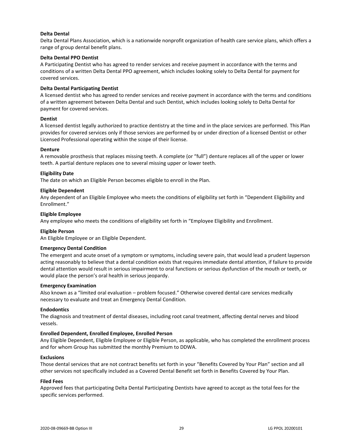#### **Delta Dental**

Delta Dental Plans Association, which is a nationwide nonprofit organization of health care service plans, which offers a range of group dental benefit plans.

#### **Delta Dental PPO Dentist**

A Participating Dentist who has agreed to render services and receive payment in accordance with the terms and conditions of a written Delta Dental PPO agreement, which includes looking solely to Delta Dental for payment for covered services.

#### **Delta Dental Participating Dentist**

A licensed dentist who has agreed to render services and receive payment in accordance with the terms and conditions of a written agreement between Delta Dental and such Dentist, which includes looking solely to Delta Dental for payment for covered services.

#### **Dentist**

A licensed dentist legally authorized to practice dentistry at the time and in the place services are performed. This Plan provides for covered services only if those services are performed by or under direction of a licensed Dentist or other Licensed Professional operating within the scope of their license.

#### **Denture**

A removable prosthesis that replaces missing teeth. A complete (or "full") denture replaces all of the upper or lower teeth. A partial denture replaces one to several missing upper or lower teeth.

#### **Eligibility Date**

The date on which an Eligible Person becomes eligible to enroll in the Plan.

#### **Eligible Dependent**

Any dependent of an Eligible Employee who meets the conditions of eligibility set forth in "Dependent Eligibility and Enrollment."

#### **Eligible Employee**

Any employee who meets the conditions of eligibility set forth in "Employee Eligibility and Enrollment.

#### **Eligible Person**

An Eligible Employee or an Eligible Dependent.

#### **Emergency Dental Condition**

The emergent and acute onset of a symptom or symptoms, including severe pain, that would lead a prudent layperson acting reasonably to believe that a dental condition exists that requires immediate dental attention, if failure to provide dental attention would result in serious impairment to oral functions or serious dysfunction of the mouth or teeth, or would place the person's oral health in serious jeopardy.

#### **Emergency Examination**

Also known as a "limited oral evaluation – problem focused." Otherwise covered dental care services medically necessary to evaluate and treat an Emergency Dental Condition.

#### **Endodontics**

The diagnosis and treatment of dental diseases, including root canal treatment, affecting dental nerves and blood vessels.

#### **Enrolled Dependent, Enrolled Employee, Enrolled Person**

Any Eligible Dependent, Eligible Employee or Eligible Person, as applicable, who has completed the enrollment process and for whom Group has submitted the monthly Premium to DDWA.

#### **Exclusions**

Those dental services that are not contract benefits set forth in your "Benefits Covered by Your Plan" section and all other services not specifically included as a Covered Dental Benefit set forth in Benefits Covered by Your Plan.

#### **Filed Fees**

Approved fees that participating Delta Dental Participating Dentists have agreed to accept as the total fees for the specific services performed.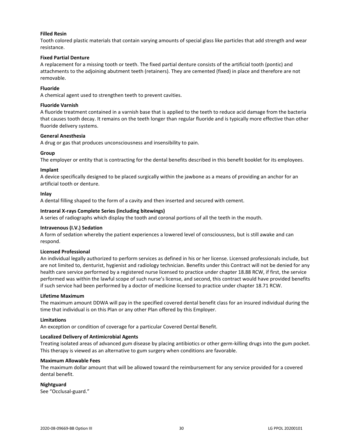#### **Filled Resin**

Tooth colored plastic materials that contain varying amounts of special glass like particles that add strength and wear resistance.

#### **Fixed Partial Denture**

A replacement for a missing tooth or teeth. The fixed partial denture consists of the artificial tooth (pontic) and attachments to the adjoining abutment teeth (retainers). They are cemented (fixed) in place and therefore are not removable.

#### **Fluoride**

A chemical agent used to strengthen teeth to prevent cavities.

#### **Fluoride Varnish**

A fluoride treatment contained in a varnish base that is applied to the teeth to reduce acid damage from the bacteria that causes tooth decay. It remains on the teeth longer than regular fluoride and is typically more effective than other fluoride delivery systems.

#### **General Anesthesia**

A drug or gas that produces unconsciousness and insensibility to pain.

#### **Group**

The employer or entity that is contracting for the dental benefits described in this benefit booklet for its employees.

#### **Implant**

A device specifically designed to be placed surgically within the jawbone as a means of providing an anchor for an artificial tooth or denture.

#### **Inlay**

A dental filling shaped to the form of a cavity and then inserted and secured with cement.

#### **Intraoral X-rays Complete Series (including bitewings)**

A series of radiographs which display the tooth and coronal portions of all the teeth in the mouth.

#### **Intravenous (I.V.) Sedation**

A form of sedation whereby the patient experiences a lowered level of consciousness, but is still awake and can respond.

#### **Licensed Professional**

An individual legally authorized to perform services as defined in his or her license. Licensed professionals include, but are not limited to, denturist, hygienist and radiology technician. Benefits under this Contract will not be denied for any health care service performed by a registered nurse licensed to practice under chapter 18.88 RCW, if first, the service performed was within the lawful scope of such nurse's license, and second, this contract would have provided benefits if such service had been performed by a doctor of medicine licensed to practice under chapter 18.71 RCW.

#### **Lifetime Maximum**

The maximum amount DDWA will pay in the specified covered dental benefit class for an insured individual during the time that individual is on this Plan or any other Plan offered by this Employer.

#### **Limitations**

An exception or condition of coverage for a particular Covered Dental Benefit.

#### **Localized Delivery of Antimicrobial Agents**

Treating isolated areas of advanced gum disease by placing antibiotics or other germ-killing drugs into the gum pocket. This therapy is viewed as an alternative to gum surgery when conditions are favorable.

#### **Maximum Allowable Fees**

The maximum dollar amount that will be allowed toward the reimbursement for any service provided for a covered dental benefit.

#### **Nightguard**

See "Occlusal-guard."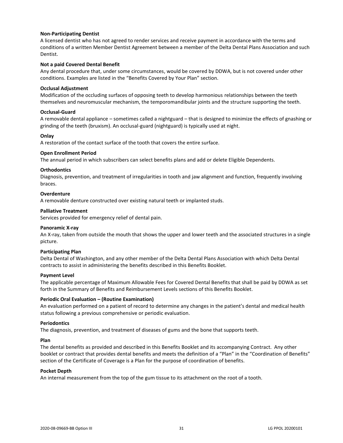#### **Non-Participating Dentist**

A licensed dentist who has not agreed to render services and receive payment in accordance with the terms and conditions of a written Member Dentist Agreement between a member of the Delta Dental Plans Association and such Dentist.

#### **Not a paid Covered Dental Benefit**

Any dental procedure that, under some circumstances, would be covered by DDWA, but is not covered under other conditions. Examples are listed in the "Benefits Covered by Your Plan" section.

#### **Occlusal Adjustment**

Modification of the occluding surfaces of opposing teeth to develop harmonious relationships between the teeth themselves and neuromuscular mechanism, the temporomandibular joints and the structure supporting the teeth.

#### **Occlusal-Guard**

A removable dental appliance – sometimes called a nightguard – that is designed to minimize the effects of gnashing or grinding of the teeth (bruxism). An occlusal-guard (nightguard) is typically used at night.

#### **Onlay**

A restoration of the contact surface of the tooth that covers the entire surface.

#### **Open Enrollment Period**

The annual period in which subscribers can select benefits plans and add or delete Eligible Dependents.

#### **Orthodontics**

Diagnosis, prevention, and treatment of irregularities in tooth and jaw alignment and function, frequently involving braces.

#### **Overdenture**

A removable denture constructed over existing natural teeth or implanted studs.

#### **Palliative Treatment**

Services provided for emergency relief of dental pain.

#### **Panoramic X-ray**

An X-ray, taken from outside the mouth that shows the upper and lower teeth and the associated structures in a single picture.

#### **Participating Plan**

Delta Dental of Washington, and any other member of the Delta Dental Plans Association with which Delta Dental contracts to assist in administering the benefits described in this Benefits Booklet.

#### **Payment Level**

The applicable percentage of Maximum Allowable Fees for Covered Dental Benefits that shall be paid by DDWA as set forth in the Summary of Benefits and Reimbursement Levels sections of this Benefits Booklet.

#### **Periodic Oral Evaluation – (Routine Examination)**

An evaluation performed on a patient of record to determine any changes in the patient's dental and medical health status following a previous comprehensive or periodic evaluation.

#### **Periodontics**

The diagnosis, prevention, and treatment of diseases of gums and the bone that supports teeth.

#### **Plan**

The dental benefits as provided and described in this Benefits Booklet and its accompanying Contract. Any other booklet or contract that provides dental benefits and meets the definition of a "Plan" in the "Coordination of Benefits" section of the Certificate of Coverage is a Plan for the purpose of coordination of benefits.

#### **Pocket Depth**

An internal measurement from the top of the gum tissue to its attachment on the root of a tooth.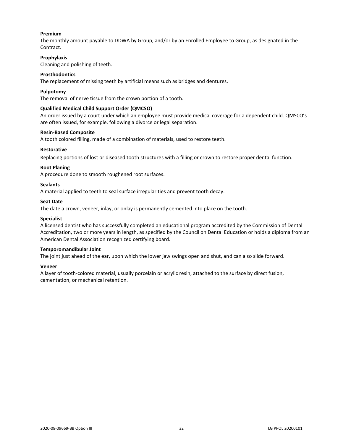#### **Premium**

The monthly amount payable to DDWA by Group, and/or by an Enrolled Employee to Group, as designated in the Contract.

#### **Prophylaxis**

Cleaning and polishing of teeth.

#### **Prosthodontics**

The replacement of missing teeth by artificial means such as bridges and dentures.

#### **Pulpotomy**

The removal of nerve tissue from the crown portion of a tooth.

#### **Qualified Medical Child Support Order (QMCSO)**

An order issued by a court under which an employee must provide medical coverage for a dependent child. QMSCO's are often issued, for example, following a divorce or legal separation.

#### **Resin-Based Composite**

A tooth colored filling, made of a combination of materials, used to restore teeth.

#### **Restorative**

Replacing portions of lost or diseased tooth structures with a filling or crown to restore proper dental function.

#### **Root Planing**

A procedure done to smooth roughened root surfaces.

#### **Sealants**

A material applied to teeth to seal surface irregularities and prevent tooth decay.

#### **Seat Date**

The date a crown, veneer, inlay, or onlay is permanently cemented into place on the tooth.

#### **Specialist**

A licensed dentist who has successfully completed an educational program accredited by the Commission of Dental Accreditation, two or more years in length, as specified by the Council on Dental Education or holds a diploma from an American Dental Association recognized certifying board.

#### **Temporomandibular Joint**

The joint just ahead of the ear, upon which the lower jaw swings open and shut, and can also slide forward.

#### **Veneer**

A layer of tooth-colored material, usually porcelain or acrylic resin, attached to the surface by direct fusion, cementation, or mechanical retention.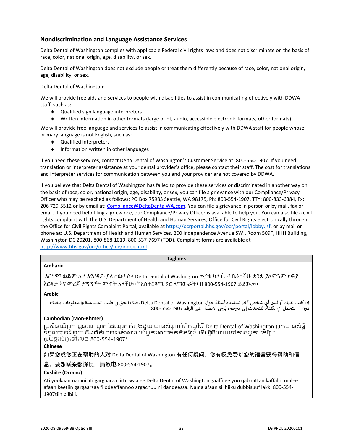## <span id="page-35-0"></span>**Nondiscrimination and Language Assistance Services**

Delta Dental of Washington complies with applicable Federal civil rights laws and does not discriminate on the basis of race, color, national origin, age, disability, or sex.

Delta Dental of Washington does not exclude people or treat them differently because of race, color, national origin, age, disability, or sex.

Delta Dental of Washington:

We will provide free aids and services to people with disabilities to assist in communicating effectively with DDWA staff, such as:

- ◆ Qualified sign language interpreters
- Written information in other formats (large print, audio, accessible electronic formats, other formats)

We will provide free language and services to assist in communicating effectively with DDWA staff for people whose primary language is not English, such as:

- Qualified interpreters
- $\bullet$  Information written in other languages

If you need these services, contact Delta Dental of Washington's Customer Service at: 800-554-1907. If you need translation or interpreter assistance at your dental provider's office, please contact their staff. The cost for translations and interpreter services for communication between you and your provider are not covered by DDWA.

If you believe that Delta Dental of Washington has failed to provide these services or discriminated in another way on the basis of race, color, national origin, age, disability, or sex, you can file a grievance with our Compliance/Privacy Officer who may be reached as follows: PO Box 75983 Seattle, WA 98175, Ph: 800-554-1907, TTY: 800-833-6384, Fx: 206 729-5512 or by email at: [Compliance@DeltaDentalWA.com.](mailto:Compliance@DeltaDentalWA.com) You can file a grievance in person or by mail, fax or email. If you need help filing a grievance, our Compliance/Privacy Officer is available to help you. You can also file a civil rights complaint with the U.S. Department of Health and Human Services, Office for Civil Rights electronically through the Office for Civil Rights Complaint Portal, available a[t https://ocrportal.hhs.gov/ocr/portal/lobby.jsf,](https://ocrportal.hhs.gov/ocr/portal/lobby.jsf) or by mail or phone at: U.S. Department of Health and Human Services, 200 Independence Avenue SW., Room 509F, HHH Building, Washington DC 20201, 800-868-1019, 800-537-7697 (TDD). Complaint forms are available at [http://www.hhs.gov/ocr/office/file/index.html.](http://www.hhs.gov/ocr/office/file/index.html)

| <b>Taglines</b>                                                                                                                                                                                                                                      |
|------------------------------------------------------------------------------------------------------------------------------------------------------------------------------------------------------------------------------------------------------|
| <b>Amharic</b>                                                                                                                                                                                                                                       |
| እርስዎ፣ ወይም ሌላ እየረዱት ያለ ሰው፣ ስለ Delta Dental of Washington ጥያቄ ካላችሁ፣ በራሳችሁ ቋንቋ ያለምንም ክፍያ<br>እርዳታ እና መረጃ የማማኘት መብት አላችሁ። ከአስተርጓሚ <i>ጋ</i> ር ለማውራት፣ በ 800-554-1907 ይደውሉ።                                                                                  |
| <b>Arabic</b>                                                                                                                                                                                                                                        |
| إذا كانت لديك أو لدى أي شخص آخر تساعده أسئلة حول Delta Dental of Washington، فلك الحق في طلب المساعدة والمعلومات بلغتك<br>دون أن تتحمل أي تكلفة. للتحدث إلى مترجم، يُرجى الاتصال على الرقم 290-554-800.                                              |
| <b>Cambodian (Mon-Khmer)</b>                                                                                                                                                                                                                         |
| ប្រសិនបើអ្នក ឬនរណាម្នាក់ដែលអ្នកកំពុងជួយ មានសំណួរអំពីកម្មវិធី Delta Dental of Washington អ្នកមានសិទ្ធិ<br>ទទួលបានជំនួយ និងព័ត៌មានជាភាសារបស់អ្នកដោយឥតគិតថ្លៃ។ ដើម្បីនិយាយទៅកាន់អ្នកបកប្រែ<br>សូមទូរស័ក្កទៅលេខ 800-554-1907។                            |
| <b>Chinese</b>                                                                                                                                                                                                                                       |
| 如果您或您正在帮助的人对 Delta Dental of Washington 有任何疑问,您有权免费以您的语言获得帮助和信                                                                                                                                                                                       |
| 息。要想联系翻译员,请致电 800-554-1907。                                                                                                                                                                                                                          |
| Cushite (Oromo)                                                                                                                                                                                                                                      |
| Ati yookaan namni ati gargaaraa jirtu waa'ee Delta Dental of Washington gaaffilee yoo qabaattan kaffaltii malee<br>afaan keetiin gargaarsaa fi odeeffannoo argachuu ni dandeessa. Nama afaan sii hiiku dubbisuuf lakk. 800-554-<br>1907tiin bilbili. |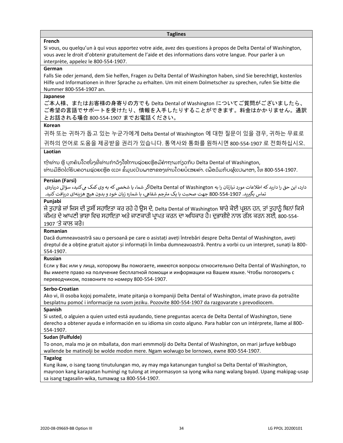#### **Taglines**

#### **French**

Si vous, ou quelqu'un à qui vous apportez votre aide, avez des questions à propos de Delta Dental of Washington, vous avez le droit d'obtenir gratuitement de l'aide et des informations dans votre langue. Pour parler à un interprète, appelez le 800-554-1907.

## **German**

Falls Sie oder jemand, dem Sie helfen, Fragen zu Delta Dental of Washington haben, sind Sie berechtigt, kostenlos Hilfe und Informationen in Ihrer Sprache zu erhalten. Um mit einem Dolmetscher zu sprechen, rufen Sie bitte die Nummer 800-554-1907 an.

#### **Japanese**

ご本人様、またはお客様の身寄りの方でも Delta Dental of Washington についてご質問がございましたら、 ご希望の言語でサポートを受けたり、情報を入手したりすることができます。料金はかかりません。通訳 とお話される場合 800-554-1907 までお電話ください。

## **Korean**

귀하 또는 귀하가 돕고 있는 누군가에게 Delta Dental of Washington 에 대한 질문이 있을 경우, 귀하는 무료로 귀하의 언어로 도움을 제공받을 권리가 있습니다. 통역사와 통화를 원하시면 800-554-1907 로 전화하십시오.

## **Laotian**

ຖ້າທ່ານ ຫຼື ບຸກຄົນໃດໜຶ່ງທີ່ທ່ານກໍາລັງໃຫ້ການຊ່ວຍເຫຼືອມີຄໍາຖາມກ່ຽວກັບ Delta Dental of Washington, ທ່ານມີສິດໄດ້ຮັບຄວາມຊ່ວຍເຫຼືອ ແລະ ຂໍ້ມູນເປັນພາສາຂອງທ່ານໂດຍບໍ່ເສຍຄ່າ. ເພື່ອລິມກັບຜູ້ແປພາສາ, ໂທ 800-554-1907.

#### **Persian (Farsi)**

دارد، این حق را دارید که اطلاعات مورد نیازتان را به Delta Dental of Washingtonاگر شما، یا شخصی که به وی کمک می کنید، سؤالی دربارهی جم شفایه، با شماره زبان خود و بدون هیچ هزینهای در یافتکنید. تماس بگرتید. 800-554-1907 جهت صحبت با یک مت <sup>ر</sup>

## **Punjabi**

ਜੇ ਤੁਹਾਡੇ ਜਾਂ ਜਿਸ ਦੀ ਤੁਸੀਂ ਸਹਾਇਤਾ ਕਰ ਰਹੇ ਹੋ ਉਸ ਦੇ, Delta Dental of Washington ਬਾਰੇ ਕੋਈ ਪ੍ਰਸ਼ਨ ਹਨ, ਤਾਂ ਤੁਹਾਨੂੰ ਬਿਨਾਂ ਕਿਸੇ ਕੀਮਤ ਦੇ ਆਪਣੀ ਭਾਸ਼ਾ ਵਿਚ ਸਹਾਇਤਾ ਅਤੇ ਜਾਣਕਾਰੀ ਪ੍ਰਾਪਤ ਕਰਨ ਦਾ ਅਧਿਕਾਰ ਹੈ। ਦੁਭਾਸ਼ੀਏ ਨਾਲ ਗੱਲ ਕਰਨ ਲਈ, 800-554-1907 'ਤੇ ਕਾਲ ਕਰੋ।

## **Romanian**

Dacă dumneavoastră sau o persoană pe care o asistați aveți întrebări despre Delta Dental of Washington, aveți dreptul de a obține gratuit ajutor și informații în limba dumneavoastră. Pentru a vorbi cu un interpret, sunați la 800- 554-1907.

#### **Russian**

Если у Вас или у лица, которому Вы помогаете, имеются вопросы относительно Delta Dental of Washington, то Вы имеете право на получение бесплатной помощи и информации на Вашем языке. Чтобы поговорить с переводчиком, позвоните по номеру 800-554-1907.

#### **Serbo-Croatian**

Ako vi, ili osoba kojoj pomažete, imate pitanja o kompaniji Delta Dental of Washington, imate pravo da potražite besplatnu pomoć i informacije na svom jeziku. Pozovite 800-554-1907 da razgovarate s prevodiocem.

#### **Spanish**

Si usted, o alguien a quien usted está ayudando, tiene preguntas acerca de Delta Dental of Washington, tiene derecho a obtener ayuda e información en su idioma sin costo alguno. Para hablar con un intérprete, llame al 800- 554-1907.

## **Sudan (Fulfulde)**

To onon, mala mo je on mballata, don mari emmmolji do Delta Dental of Washington, on mari jarfuye keɓɓugo wallende be matinolji be wolde moɗon mere. Ngam wolwugo be lornowo, ewne 800-554-1907.

## **Tagalog**

Kung ikaw, o isang taong tinutulungan mo, ay may mga katanungan tungkol sa Delta Dental of Washington, mayroon kang karapatan humingi ng tulong at impormasyon sa iyong wika nang walang bayad. Upang makipag-usap sa isang tagasalin-wika, tumawag sa 800-554-1907.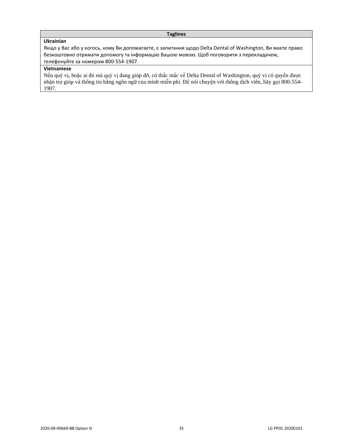## **Taglines**

## **Ukrainian**

Якщо у Вас або у когось, кому Ви допомагаєте, є запитання щодо Delta Dental of Washington, Ви маєте право безкоштовно отримати допомогу та інформацію Вашою мовою. Щоб поговорити з перекладачем, телефонуйте за номером 800-554-1907.

## **Vietnamese**

Nếu quý vị, hoặc ai đó mà quý vị đang giúp đỡ, có thắc mắc về Delta Dental of Washington, quý vị có quyền được nhận trợ giúp và thông tin bằng ngôn ngữ của mình miễn phí. Để nói chuyện với thông dịch viên, hãy gọi 800-554- 1907.